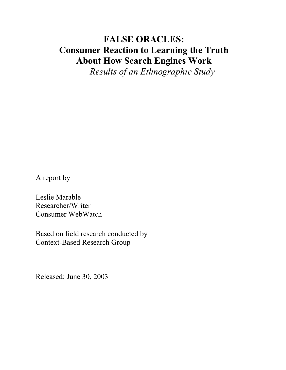# **FALSE ORACLES: Consumer Reaction to Learning the Truth About How Search Engines Work**

*Results of an Ethnographic Study*

A report by

Leslie Marable Researcher/Writer Consumer WebWatch

Based on field research conducted by Context-Based Research Group

Released: June 30, 2003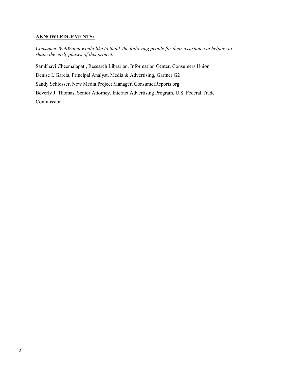### **AKNOWLEDGEMENTS:**

*Consumer WebWatch would like to thank the following people for their assistance in helping to shape the early phases of this project.*

Sambhavi Cheemalapati, Research Librarian, Information Center, Consumers Union Denise I. Garcia, Principal Analyst, Media & Advertising, Gartner G2 Sandy Schlosser, New Media Project Manager, ConsumerReports.org Beverly J. Thomas, Senior Attorney, Internet Advertising Program, U.S. Federal Trade Commission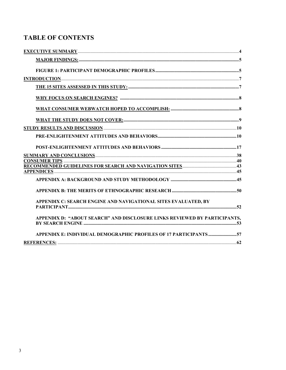# **TABLE OF CONTENTS**

| APPENDIX C: SEARCH ENGINE AND NAVIGATIONAL SITES EVALUATED, BY            |  |
|---------------------------------------------------------------------------|--|
|                                                                           |  |
| APPENDIX D: "ABOUT SEARCH" AND DISCLOSURE LINKS REVIEWED BY PARTICIPANTS. |  |
|                                                                           |  |
| APPENDIX E: INDIVIDUAL DEMOGRAPHIC PROFILES OF 17 PARTICIPANTS 57         |  |
|                                                                           |  |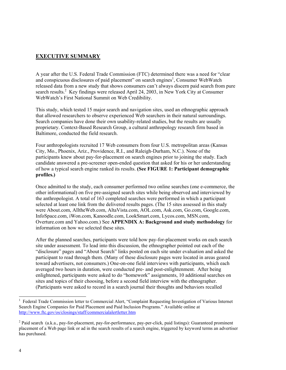### <span id="page-3-0"></span>**EXECUTIVE SUMMARY**

A year after the U.S. Federal Trade Commission (FTC) determined there was a need for "clear and conspicuous disclosures of paid placement" on search engines<sup>[1](#page-3-1)</sup>, Consumer WebWatch released data from a new study that shows consumers can't always discern paid search from pure searchresults.<sup>2</sup> Key findings were released April 24, 2003, in New York City at Consumer WebWatch's First National Summit on Web Credibility.

This study, which tested 15 major search and navigation sites, used an ethnographic approach that allowed researchers to observe experienced Web searchers in their natural surroundings. Search companies have done their own usability-related studies, but the results are usually proprietary. Context-Based Research Group, a cultural anthropology research firm based in Baltimore, conducted the field research.

Four anthropologists recruited 17 Web consumers from four U.S. metropolitan areas (Kansas City, Mo., Phoenix, Ariz., Providence, R.I., and Raleigh-Durham, N.C.). None of the participants knew about pay-for-placement on search engines prior to joining the study. Each candidate answered a pre-screener open-ended question that asked for his or her understanding of how a typical search engine ranked its results. **(See FIGURE 1: Participant demographic profiles.)**

Once admitted to the study, each consumer performed two online searches (one e-commerce, the other informational) on five pre-assigned search sites while being observed and interviewed by the anthropologist. A total of 163 completed searches were performed in which a participant selected at least one link from the delivered results pages. (The 15 sites assessed in this study were About.com, AlltheWeb.com, AltaVista.com, AOL.com, Ask.com, Go.com, Google.com, InfoSpace.com, iWon.com, Kanoodle.com, LookSmart.com, Lycos.com, MSN.com, Overture.com and Yahoo.com.) See **APPENDIX A: Background and study methodology** for information on how we selected these sites.

After the planned searches, participants were told how pay-for-placement works on each search site under assessment. To lead into this discussion, the ethnographer pointed out each of the "disclosure" pages and "About Search" links posted on each site under evaluation and asked the participant to read through them. (Many of these disclosure pages were located in areas geared toward advertisers, not consumers.) One-on-one field interviews with participants, which each averaged two hours in duration, were conducted pre- and post-enlightenment. After being enlightened, participants were asked to do "homework" assignments, 10 additional searches on sites and topics of their choosing, before a second field interview with the ethnographer. (Participants were asked to record in a search journal their thoughts and behaviors recalled

 $\overline{a}$ 

<span id="page-3-1"></span><sup>1</sup> Federal Trade Commission letter to Commercial Alert, "Complaint Requesting Investigation of Various Internet Search Engine Companies for Paid Placement and Paid Inclusion Programs." Available online at http://www.ftc.gov/os/closings/staff/commercialalertletter.htm

<span id="page-3-2"></span> $2$  Paid search (a.k.a., pay-for-placement, pay-for-performance, pay-per-click, paid listings): Guaranteed prominent placement of a Web page link or ad in the search results of a search engine, triggered by keyword terms an advertiser has purchased.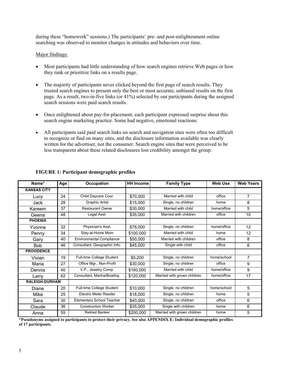during these "homework" sessions.) The participants' pre- and post-enlightenment online searching was observed to monitor changes in attitudes and behaviors over time.

### <span id="page-4-0"></span>Major findings:

- Most participants had little understanding of how search engines retrieve Web pages or how they rank or prioritize links on a results page.
- The majority of participants never clicked beyond the first page of search results. They trusted search engines to present only the best or most accurate, unbiased results on the first page. As a result, two-in-five links (or 41%) selected by our participants during the assigned search sessions were paid search results.
- Once enlightened about pay-for-placement, each participant expressed surprise about this search engine marketing practice. Some had negative, emotional reactions.
- All participants said paid search links on search and navigation sites were often too difficult to recognize or find on many sites, and the disclosure information available was clearly written for the advertiser, not the consumer. Search engine sites that were perceived to be less transparent about these related disclosures lost credibility amongst the group.

| Name*                 | Age | <b>Occupation</b>                | <b>HH Income</b> | <b>Family Type</b>          | Web Use     | <b>Web Years</b> |
|-----------------------|-----|----------------------------------|------------------|-----------------------------|-------------|------------------|
| <b>KANSAS CITY</b>    |     |                                  |                  |                             |             |                  |
| Lucy                  | 24  | Child Daycare Coor.              | \$70,000         | Married with child          | office      | $\overline{7}$   |
| Jack                  | 28  | <b>Graphic Artist</b>            | \$15,000         | Single, no children         | home        | 8                |
| Kareem                | 37  | <b>Restaurant Owner</b>          | \$30,000         | Married with child          | home/office | 5                |
| Geena                 | 48  | Legal Asst.                      | \$35,000         | Married with children       | office      | 10               |
| <b>PHOENIX</b>        |     |                                  |                  |                             |             |                  |
| Yvonne                | 32  | Physician's Asst.                | \$76,000         | Single, no children         | home/office | 12               |
| Penny                 | 34  | Stay-at-Home Mom                 | \$100,000        | Married with child          | home        | 12               |
| Gary                  | 40  | <b>Environmental Compliance</b>  | \$50,000         | Married with children       | office      | 8                |
| <b>Bob</b>            | 46  | Consultant, Geographic Info.     | \$45,000         | Single with child           | office      | 6                |
| <b>PROVIDENCE</b>     |     |                                  |                  |                             |             |                  |
| Vivian                | 19  | Full-time College Student        | \$5,200          | Single, no children         | home/school | $\overline{7}$   |
| Maria                 | 27  | Office Mgr., Non-Profit          | \$30,000         | Single, no children         | office      | 9                |
| Dennis                | 40  | V.P., Jewelry Comp.              | \$160,000        | Married with child          | home/office | 9                |
| Larry                 | 62  | Consultant, Marina/Boating       | \$120,000        | Married with grown children | home/office | 17               |
| <b>RALEIGH-DURHAM</b> |     |                                  |                  |                             |             |                  |
| Diane                 | 20  | Full-time College Student        | \$10,000         | Single, no children         | home/school | 5                |
| Mike                  | 25  | Electric Meter Reader            | \$18,000         | Single, no children         | home        | 5                |
| Sara                  | 30  | <b>Elementary School Teacher</b> | \$40,000         | Single, no children         | office      | 6                |
| Claude                | 36  | <b>Construction Worker</b>       | \$35,000         | Single with children        | home        | 6                |
| Anna                  | 55  | <b>Retired Banker</b>            | \$200,000        | Married with grown children | home        | 5                |

### <span id="page-4-1"></span>**FIGURE 1: Participant demographic profiles**

**\*Pseudonyms assigned to participants to protect their privacy. See also APPENDIX E: Individual demographic profiles of 17 participants.**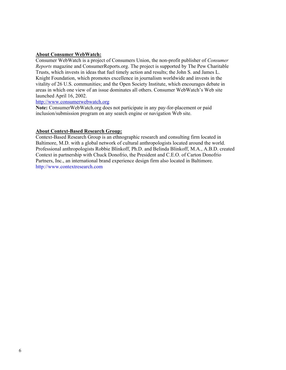### **About Consumer WebWatch:**

Consumer WebWatch is a project of Consumers Union, the non-profit publisher of *Consumer Reports* magazine and ConsumerReports.org. The project is supported by The Pew Charitable Trusts, which invests in ideas that fuel timely action and results; the John S. and James L. Knight Foundation, which promotes excellence in journalism worldwide and invests in the vitality of 26 U.S. communities; and the Open Society Institute, which encourages debate in areas in which one view of an issue dominates all others. Consumer WebWatch's Web site launched April 16, 2002.

### [http://www.consumerwebwatch.org](http://www.consumerwebwatch.org/)

**Note:** ConsumerWebWatch.org does not participate in any pay-for-placement or paid inclusion/submission program on any search engine or navigation Web site.

### **About Context-Based Research Group:**

Context-Based Research Group is an ethnographic research and consulting firm located in Baltimore, M.D. with a global network of cultural anthropologists located around the world. Professional anthropologists Robbie Blinkoff, Ph.D. and Belinda Blinkoff, M.A., A.B.D. created Context in partnership with Chuck Donofrio, the President and C.E.O. of Carton Donofrio Partners, Inc., an international brand experience design firm also located in Baltimore. [http://www.contextresearch.com](http://www.contextresearch.com/)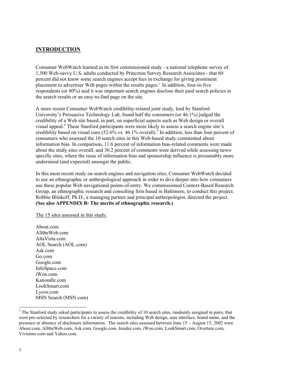### <span id="page-6-0"></span>**INTRODUCTION**

Consumer WebWatch learned in its first commissioned study - a national telephone survey of 1,500 Web-savvy U.S. adults conducted by Princeton Survey Research Associates - that 60 percent did not know some search engines accept fees in exchange for giving prominent placementto advertiser Web pages within the results pages.<sup>i</sup> In addition, four-in-five respondents (or 80%) said it was important search engines disclose their paid search policies in the search results or an easy-to-find page on the site.

A more recent Consumer WebWatch credibility-related joint study, lead by Stanford University's Persuasive Technology Lab, found half the consumers (or 46.1%) judged the credibility of a Web site based, in part, on superficial aspects such as Web design or overall visual appeal.<sup>ii</sup> These Stanford participants were more likely to assess a search engine site's credibility based on visual cues  $(52.6\%$  vs. 46.1% overall).<sup>[3](#page-6-2)</sup> In addition, less than four percent of consumers who assessed the 10 search sites in this Web-based study commented about information bias. In comparison, 11.6 percent of information bias-related comments were made about the study sites overall, and 30.2 percent of comments were derived while assessing newsspecific sites, where the issue of information bias and sponsorship influence is presumably more understood (and expected) amongst the public.

In this most recent study on search engines and navigation sites, Consumer WebWatch decided to use an ethnographic or anthropological approach in order to dive deeper into how consumers use these popular Web navigational points-of-entry. We commissioned Context-Based Research Group, an ethnographic research and consulting firm based in Baltimore, to conduct this project. Robbie Blinkoff, Ph.D., a managing partner and principal anthropologist, directed the project. **(See also APPENDIX B: The merits of ethnographic research.)**

<span id="page-6-1"></span>The 15 sites assessed in this study:

About.com AlltheWeb.com AltaVista.com AOL Search (AOL.com) Ask.com Go.com Google.com InfoSpace.com iWon.com Kanoodle.com LookSmart.com Lycos.com MSN Search (MSN.com)

 $\overline{a}$ 

<span id="page-6-2"></span> $3$  The Stanford study asked participants to assess the credibility of 10 search sites, randomly assigned in pairs, that were pre-selected by researchers for a variety of reasons, including Web design, user interface, brand name, and the presence or absence of disclosure information. The search sites assessed between June 15 – August 15, 2002 were About.com, AlltheWeb.com, Ask.com, Google.com, Insider.com, iWon.com, LookSmart.com, Overture.com, Vivisimo.com and Yahoo.com.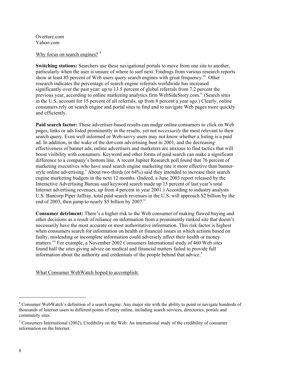Overture.com Yahoo.com

### <span id="page-7-0"></span>Why focus on search engines?<sup>[4](#page-7-2)</sup>

**Switching stations:** Searchers use these navigational portals to move from one site to another, particularly when the user is unsure of where to surf next. Findings from various research reports show at least 85 percent of Web users query search engines with great frequency.<sup>iii</sup> Other research indicates the percentage of search engine referrals worldwide has increased significantly over the past year: up to 13.5 percent of global referrals from 7.2 percent the previous year, according to online marketing analytics firm WebSideStory.com.[iv \(](#page-65-3)Search sites in the U.S. account for 15 percent of all referrals, up from 8 percent a year ago.) Clearly, online consumers rely on search engine and portal sites to find and to navigate Web pages more quickly and efficiently.

**Paid search factor:** These advertiser-based results can nudge online consumers to click on Web pages, links or ads listed prominently in the results, yet not *necessarily* the most relevant to their search query. Even well informed or Web-savvy users may not know whether a listing is a paid ad. In addition, in the wake of the dot-com advertising bust in 2001, and the decreasing effectiveness of banner ads, online advertisers and marketers are anxious to find tactics that will boost visibility with consumers. Keyword and other forms of paid search can make a significant difference to a company's bottom line. A recent Jupiter Research poll found that 76 percent of marketing executives who have used search engine marketing rate it more effective than bannerstyle online ad[v](#page-65-4)ertising. About two-thirds (or  $64\%$ ) said they intended to increase their search engine marketing budgets in the next 12 months. (Indeed, a June 2003 report released by the Interactive Advertising Bureau said keyword search made up 15 percent of last year's total Internet advertising revenues, up from 4 percent in year 2001.) According to industry analysts U.S. Bancorp Piper Jaffray, total paid search revenues in the U.S. will approach \$2 billion by the end of 2003, then jump to nearly \$5 billion by  $2007$ .<sup>[vi](#page-65-5)</sup>

**Consumer detriment:** There's a higher risk to the Web consumer of making flawed buying and other decisions as a result of reliance on information from a prominently ranked site that doesn't necessarily have the most accurate or most authoritative information. This risk factor is highest when consumers search for information on health or financial issues in which actions based on faulty, misleading or incomplete information could adversely affect their health or money matters.<sup>vii</sup> For example, a November 2002 Consumers International study of 460 Web sites found half the sites giving advice on medical and financial matters failed to provide full information about the authority and credentials of the people behind that advice.<sup>[5](#page-7-3)</sup>

<span id="page-7-1"></span>What Consumer WebWatch hoped to accomplish:

 $\overline{a}$ 

<span id="page-7-2"></span><sup>&</sup>lt;sup>4</sup> Consumer WebWatch's definition of a search engine: Any major site with the ability to point or navigate hundreds of thousands of Internet users to different points of entry online, including search services, directories, portals and community sites.

<span id="page-7-3"></span><sup>&</sup>lt;sup>5</sup> Consumers International (2002), Credibility on the Web: An international study of the credibility of consumer information on the Internet.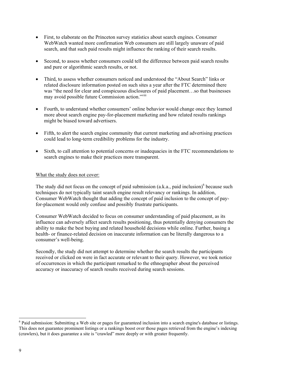- First, to elaborate on the Princeton survey statistics about search engines. Consumer WebWatch wanted more confirmation Web consumers are still largely unaware of paid search, and that such paid results might influence the ranking of their search results.
- Second, to assess whether consumers could tell the difference between paid search results and pure or algorithmic search results, or not.
- Third, to assess whether consumers noticed and understood the "About Search" links or related disclosure information posted on such sites a year after the FTC determined there was "the need for clear and conspicuous disclosures of paid placement…so that businesses may avoid possible future Commission action."<sup>[viii](#page-65-7)</sup>
- Fourth, to understand whether consumers' online behavior would change once they learned more about search engine pay-for-placement marketing and how related results rankings might be biased toward advertisers.
- Fifth, to alert the search engine community that current marketing and advertising practices could lead to long-term credibility problems for the industry.
- Sixth, to call attention to potential concerns or inadequacies in the FTC recommendations to search engines to make their practices more transparent.

### <span id="page-8-0"></span>What the study does not cover:

The study did not focus on the concept of paid submission (a.k.a., paid inclusion)<sup>6</sup> because such techniques do not typically taint search engine result relevancy or rankings. In addition, Consumer WebWatch thought that adding the concept of paid inclusion to the concept of payfor-placement would only confuse and possibly frustrate participants.

Consumer WebWatch decided to focus on consumer understanding of paid placement, as its influence can adversely affect search results positioning, thus potentially denying consumers the ability to make the best buying and related household decisions while online. Further, basing a health- or finance-related decision on inaccurate information can be literally dangerous to a consumer's well-being.

Secondly, the study did not attempt to determine whether the search results the participants received or clicked on were in fact accurate or relevant to their query. However, we took notice of occurrences in which the participant remarked to the ethnographer about the perceived accuracy or inaccuracy of search results received during search sessions.

l

<span id="page-8-1"></span> $6$  Paid submission: Submitting a Web site or pages for guaranteed inclusion into a search engine's database or listings. This does not guarantee prominent listings or a rankings boost over those pages retrieved from the engine's indexing (crawlers), but it does guarantee a site is "crawled" more deeply or with greater frequently.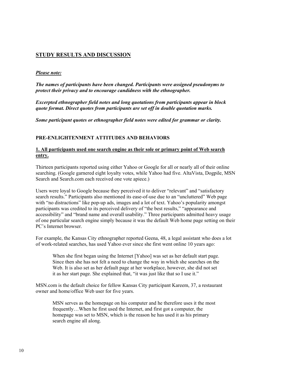### <span id="page-9-0"></span>**STUDY RESULTS AND DISCUSSION**

### *Please note:*

*The names of participants have been changed. Participants were assigned pseudonyms to protect their privacy and to encourage candidness with the ethnographer.* 

*Excerpted ethnographer field notes and long quotations from participants appear in block quote format. Direct quotes from participants are set off in double quotation marks.*

*Some participant quotes or ethnographer field notes were edited for grammar or clarity.*

### <span id="page-9-1"></span>**PRE-ENLIGHTENMENT ATTITUDES AND BEHAVIORS**

### **1. All participants used one search engine as their sole or primary point of Web search entry.**

Thirteen participants reported using either Yahoo or Google for all or nearly all of their online searching. (Google garnered eight loyalty votes, while Yahoo had five. AltaVista, Dogpile, MSN Search and Search.com each received one vote apiece.)

Users were loyal to Google because they perceived it to deliver "relevant" and "satisfactory search results." Participants also mentioned its ease-of-use due to an "uncluttered" Web page with "no distractions" like pop-up ads, images and a lot of text. Yahoo's popularity amongst participants was credited to its perceived delivery of "the best results," "appearance and accessibility" and "brand name and overall usability." Three participants admitted heavy usage of one particular search engine simply because it was the default Web home page setting on their PC's Internet browser.

For example, the Kansas City ethnographer reported Geena, 48, a legal assistant who does a lot of work-related searches, has used Yahoo ever since she first went online 10 years ago:

When she first began using the Internet [Yahoo] was set as her default start page. Since then she has not felt a need to change the way in which she searches on the Web. It is also set as her default page at her workplace, however, she did not set it as her start page. She explained that, "it was just like that so I use it."

MSN.com is the default choice for fellow Kansas City participant Kareem, 37, a restaurant owner and home/office Web user for five years.

MSN serves as the homepage on his computer and he therefore uses it the most frequently…When he first used the Internet, and first got a computer, the homepage was set to MSN, which is the reason he has used it as his primary search engine all along.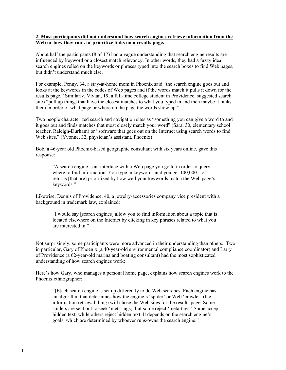### **2. Most participants did not understand how search engines retrieve information from the Web or how they rank or prioritize links on a results page.**

About half the participants (8 of 17) had a vague understanding that search engine results are influenced by keyword or a closest match relevancy. In other words, they had a fuzzy idea search engines relied on the keywords or phrases typed into the search boxes to find Web pages, but didn't understand much else.

For example, Penny, 34, a stay-at-home mom in Phoenix said "the search engine goes out and looks at the keywords in the codes of Web pages and if the words match it pulls it down for the results page." Similarly, Vivian, 19, a full-time college student in Providence, suggested search sites "pull up things that have the closest matches to what you typed in and then maybe it ranks them in order of what page or where on the page the words show up."

Two people characterized search and navigation sites as "something you can give a word to and it goes out and finds matches that most closely match your word" (Sara, 30, elementary school teacher, Raleigh-Durham) or "software that goes out on the Internet using search words to find Web sites." (Yvonne, 32, physician's assistant, Phoenix)

Bob, a 46-year old Phoenix-based geographic consultant with six years online, gave this response:

"A search engine is an interface with a Web page you go to in order to query where to find information. You type in keywords and you get 100,000's of returns [that are] prioritized by how well your keywords match the Web page's keywords."

Likewise, Dennis of Providence, 40, a jewelry-accessories company vice president with a background in trademark law, explained:

"I would say [search engines] allow you to find information about a topic that is located elsewhere on the Internet by clicking in key phrases related to what you are interested in."

Not surprisingly, some participants were more advanced in their understanding than others. Two in particular, Gary of Phoenix (a 40-year-old environmental compliance coordinator) and Larry of Providence (a 62-year-old marina and boating consultant) had the most sophisticated understanding of how search engines work:

Here's how Gary, who manages a personal home page, explains how search engines work to the Phoenix ethnographer:

"[E]ach search engine is set up differently to do Web searches. Each engine has an algorithm that determines how the engine's 'spider' or Web 'crawler' (the information retrieval thing) will chose the Web sites for the results page. Some spiders are sent out to seek 'meta-tags,' but some reject 'meta-tags.' Some accept hidden text, while others reject hidden text. It depends on the search engine's goals, which are determined by whoever runs/owns the search engine."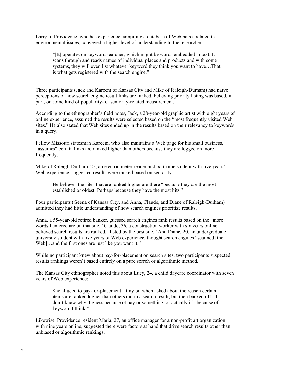Larry of Providence, who has experience compiling a database of Web pages related to environmental issues, conveyed a higher level of understanding to the researcher:

"[It] operates on keyword searches, which might be words embedded in text. It scans through and reads names of individual places and products and with some systems, they will even list whatever keyword they think you want to have…That is what gets registered with the search engine."

Three participants (Jack and Kareem of Kansas City and Mike of Raleigh-Durham) had naïve perceptions of how search engine result links are ranked, believing priority listing was based, in part, on some kind of popularity- or seniority-related measurement.

According to the ethnographer's field notes, Jack, a 28-year-old graphic artist with eight years of online experience, assumed the results were selected based on the "most frequently visited Web sites." He also stated that Web sites ended up in the results based on their relevancy to keywords in a query.

Fellow Missouri statesman Kareem, who also maintains a Web page for his small business, "assumes" certain links are ranked higher than others because they are logged on more frequently.

Mike of Raleigh-Durham, 25, an electric meter reader and part-time student with five years' Web experience, suggested results were ranked based on seniority:

He believes the sites that are ranked higher are there "because they are the most established or oldest. Perhaps because they have the most hits."

Four participants (Geena of Kansas City, and Anna, Claude, and Diane of Raleigh-Durham) admitted they had little understanding of how search engines prioritize results.

Anna, a 55-year-old retired banker, guessed search engines rank results based on the "more words I entered are on that site." Claude, 36, a construction worker with six years online, believed search results are ranked, "listed by the best site." And Diane, 20, an undergraduate university student with five years of Web experience, thought search engines "scanned [the Web]...and the first ones are just like you want it."

While no participant knew about pay-for-placement on search sites, two participants suspected results rankings weren't based entirely on a pure search or algorithmic method.

The Kansas City ethnographer noted this about Lucy, 24, a child daycare coordinator with seven years of Web experience:

She alluded to pay-for-placement a tiny bit when asked about the reason certain items are ranked higher than others did in a search result, but then backed off. "I don't know why, I guess because of pay or something, or actually it's because of keyword I think."

Likewise, Providence resident Maria, 27, an office manager for a non-profit art organization with nine years online, suggested there were factors at hand that drive search results other than unbiased or algorithmic rankings.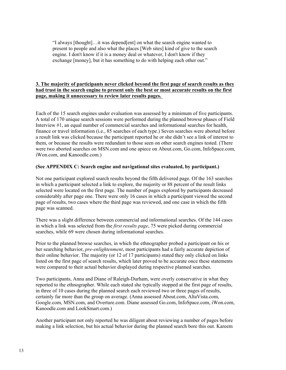"I always [thought]…it was depend[ent] on what the search engine wanted to present to people and also what the places [Web sites] kind of give to the search engine. I don't know if it is a money deal or whatever, I don't know if they exchange [money], but it has something to do with helping each other out."

### **3. The majority of participants never clicked beyond the first page of search results as they had trust in the search engine to present only the best or most accurate results on the first page, making it unnecessary to review later results pages.**

Each of the 15 search engines under evaluation was assessed by a minimum of five participants. A total of 170 unique search sessions were performed during the planned browse phases of Field Interview #1, an equal number of commercial searches and informational searches for health, finance or travel information (i.e., 85 searches of each type.) Seven searches were aborted before a result link was clicked because the participant reported he or she didn't see a link of interest to them, or because the results were redundant to those seen on other search engines tested. (There were two aborted searches on MSN.com and one apiece on About.com, Go.com, InfoSpace.com, iWon.com, and Kanoodle.com.)

### **(See APPENDIX C: Search engine and navigational sites evaluated, by participant.)**

Not one participant explored search results beyond the fifth delivered page. Of the 163 searches in which a participant selected a link to explore, the majority or 88 percent of the result links selected were located on the first page. The number of pages explored by participants decreased considerably after page one. There were only 16 cases in which a participant viewed the second page of results, two cases where the third page was reviewed, and one case in which the fifth page was scanned.

There was a slight difference between commercial and informational searches. Of the 144 cases in which a link was selected from the *first results page*, 75 were picked during commercial searches, while 69 were chosen during informational searches.

Prior to the planned browse searches, in which the ethnographer probed a participant on his or her searching behavior, *pre-enlightenment*, most participants had a fairly accurate depiction of their online behavior. The majority (or 12 of 17 participants) stated they only clicked on links listed on the first page of search results, which later proved to be accurate once these statements were compared to their actual behavior displayed during respective planned searches.

Two participants, Anna and Diane of Raleigh-Durham, were overly conservative in what they reported to the ethnographer. While each stated she typically stopped at the first page of results, in three of 10 cases during the planned search each reviewed two or three pages of results, certainly far more than the group on average. (Anna assessed About.com, AltaVista.com, Google.com, MSN.com, and Overture.com. Diane assessed Go.com, InfoSpace.com, iWon.com, Kanoodle.com and LookSmart.com.)

Another participant not only reported he was diligent about reviewing a number of pages before making a link selection, but his actual behavior during the planned search bore this out. Kareem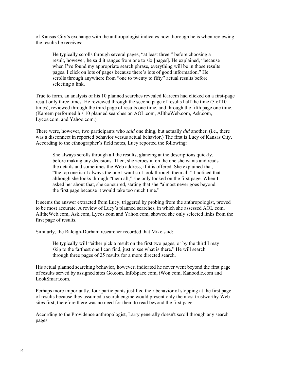of Kansas City's exchange with the anthropologist indicates how thorough he is when reviewing the results he receives:

He typically scrolls through several pages, "at least three," before choosing a result, however, he said it ranges from one to six [pages]. He explained, "because when I've found my appropriate search phrase, everything will be in those results pages. I click on lots of pages because there's lots of good information." He scrolls through anywhere from "one to twenty to fifty" actual results before selecting a link.

True to form, an analysis of his 10 planned searches revealed Kareem had clicked on a first-page result only three times. He reviewed through the second page of results half the time (5 of 10 times), reviewed through the third page of results one time, and through the fifth page one time. (Kareem performed his 10 planned searches on AOL.com, AlltheWeb.com, Ask.com, Lycos.com, and Yahoo.com.)

There were, however, two participants who *said* one thing, but actually *did* another. (i.e., there was a disconnect in reported behavior versus actual behavior.) The first is Lucy of Kansas City. According to the ethnographer's field notes, Lucy reported the following:

She always scrolls through all the results, glancing at the descriptions quickly, before making any decisions. Then, she zeroes in on the one she wants and reads the details and sometimes the Web address, if it is offered. She explained that, "the top one isn't always the one I want so I look through them all." I noticed that although she looks through "them all," she only looked on the first page. When I asked her about that, she concurred, stating that she "almost never goes beyond the first page because it would take too much time."

It seems the answer extracted from Lucy, triggered by probing from the anthropologist, proved to be most accurate. A review of Lucy's planned searches, in which she assessed AOL.com, AlltheWeb.com, Ask.com, Lycos.com and Yahoo.com, showed she only selected links from the first page of results.

Similarly, the Raleigh-Durham researcher recorded that Mike said:

He typically will "either pick a result on the first two pages, or by the third I may skip to the farthest one I can find, just to see what is there." He will search through three pages of 25 results for a more directed search.

His actual planned searching behavior, however, indicated he never went beyond the first page of results served by assigned sites Go.com, InfoSpace.com, iWon.com, Kanoodle.com and LookSmart.com.

Perhaps more importantly, four participants justified their behavior of stopping at the first page of results because they assumed a search engine would present only the most trustworthy Web sites first, therefore there was no need for them to read beyond the first page.

According to the Providence anthropologist, Larry generally doesn't scroll through any search pages: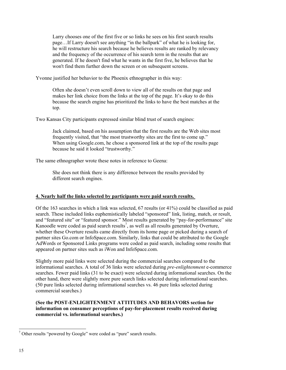Larry chooses one of the first five or so links he sees on his first search results page…If Larry doesn't see anything "in the ballpark" of what he is looking for, he will restructure his search because he believes results are ranked by relevancy and the frequency of the occurrence of his search term in the results that are generated. If he doesn't find what he wants in the first five, he believes that he won't find them further down the screen or on subsequent screens.

Yvonne justified her behavior to the Phoenix ethnographer in this way:

Often she doesn't even scroll down to view all of the results on that page and makes her link choice from the links at the top of the page. It's okay to do this because the search engine has prioritized the links to have the best matches at the top.

Two Kansas City participants expressed similar blind trust of search engines:

Jack claimed, based on his assumption that the first results are the Web sites most frequently visited, that "the most trustworthy sites are the first to come up." When using Google.com, he chose a sponsored link at the top of the results page because he said it looked "trustworthy."

The same ethnographer wrote these notes in reference to Geena:

She does not think there is any difference between the results provided by different search engines.

### **4. Nearly half the links selected by participants were paid search results.**

Of the 163 searches in which a link was selected, 67 results (or 41%) could be classified as paid search. These included links euphemistically labeled "sponsored" link, listing, match, or result, and "featured site" or "featured sponsor." Most results generated by "pay-for-performance" site Kanoodle were coded as paid search results<sup>7</sup>[,](#page-14-0) as well as all results generated by Overture, whether these Overture results came directly from its home page or picked during a search of partner sites Go.com or InfoSpace.com. Similarly, links that could be attributed to the Google AdWords or Sponsored Links programs were coded as paid search, including some results that appeared on partner sites such as iWon and InfoSpace.com.

Slightly more paid links were selected during the commercial searches compared to the informational searches. A total of 36 links were selected during *pre-enlightenment* e-commerce searches. Fewer paid links (31 to be exact) were selected during informational searches. On the other hand, there were slightly more pure search links selected during informational searches. (50 pure links selected during informational searches vs. 46 pure links selected during commercial searches.)

### **(See the POST-ENLIGHTENMENT ATTITUDES AND BEHAVORS section for information on consumer perceptions of pay-for-placement results received during commercial vs. informational searches.)**

<span id="page-14-0"></span> $\overline{a}$  $<sup>7</sup>$  Other results "powered by Google" were coded as "pure" search results.</sup>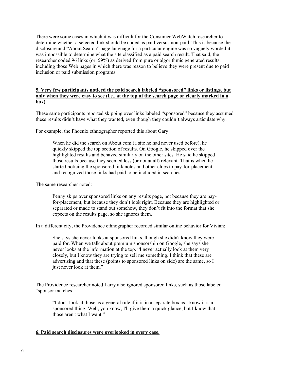There were some cases in which it was difficult for the Consumer WebWatch researcher to determine whether a selected link should be coded as paid versus non-paid. This is because the disclosure and "About Search" page language for a particular engine was so vaguely worded it was impossible to determine what the site classified as a paid search result. That said, the researcher coded 96 links (or, 59%) as derived from pure or algorithmic generated results, including those Web pages in which there was reason to believe they were present due to paid inclusion or paid submission programs.

### **5. Very few participants noticed the paid search labeled "sponsored" links or listings, but only when they were easy to see (i.e., at the top of the search page or clearly marked in a box).**

These same participants reported skipping over links labeled "sponsored" because they assumed these results didn't have what they wanted, even though they couldn't always articulate why.

For example, the Phoenix ethnographer reported this about Gary:

When he did the search on About.com (a site he had never used before), he quickly skipped the top section of results. On Google, he skipped over the highlighted results and behaved similarly on the other sites. He said he skipped those results because they seemed less (or not at all) relevant. That is when he started noticing the sponsored link notes and other clues to pay-for-placement and recognized those links had paid to be included in searches.

The same researcher noted:

Penny skips over sponsored links on any results page, not because they are payfor-placement, but because they don't look right. Because they are highlighted or separated or made to stand out somehow, they don't fit into the format that she expects on the results page, so she ignores them.

In a different city, the Providence ethnographer recorded similar online behavior for Vivian:

She says she never looks at sponsored links, though she didn't know they were paid for. When we talk about premium sponsorship on Google, she says she never looks at the information at the top. "I never actually look at them very closely, but I know they are trying to sell me something. I think that these are advertising and that these (points to sponsored links on side) are the same, so I just never look at them."

The Providence researcher noted Larry also ignored sponsored links, such as those labeled "sponsor matches":

"I don't look at those as a general rule if it is in a separate box as I know it is a sponsored thing. Well, you know, I'll give them a quick glance, but I know that those aren't what I want."

### **6. Paid search disclosures were overlooked in every case.**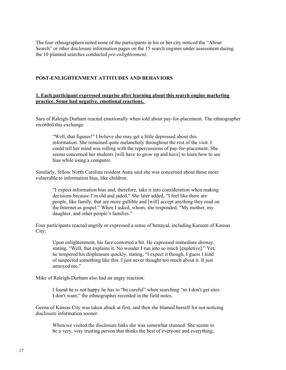The four ethnographers noted none of the participants in his or her city noticed the "About Search" or other disclosure information pages on the 15 search engines under assessment during the 10 planned searches conducted *pre-enlightenment*.

### <span id="page-16-0"></span>**POST-ENLIGHTENMENT ATTITUDES AND BEHAVIORS**

### **1. Each participant expressed surprise after learning about this search engine marketing practice. Some had negative, emotional reactions.**

Sara of Raleigh-Durham reacted emotionally when told about pay-for-placement. The ethnographer recorded this exchange:

"Well, that figures!" I believe she may get a little depressed about this information. She remained quite melancholy throughout the rest of the visit. I could tell her mind was rolling with the repercussions of pay-for-placement. She seems concerned her students [will have to grow up and have] to learn how to see bias while using a computer.

Similarly, fellow North Carolina resident Anna said she was concerned about those more vulnerable to information bias, like children:

"I expect information bias and, therefore, take it into consideration when making decisions because I'm old and jaded." She later added, "I feel like there are people, like family, that are more gullible and [will] accept anything they read on the Internet as gospel." When I asked, whom, she responded, "My mother, my daughter, and other people's families."

Four participants reacted angrily or expressed a sense of betrayal, including Kareem of Kansas City:

Upon enlightenment, his face contorted a bit. He expressed immediate dismay, stating, "Well, that explains it. No wonder I run into so much [expletive]." Yet, he tempered his displeasure quickly, stating, "I expect it though, I guess I kind of suspected something like this. I just never thought too much about it. It just annoyed me."

Mike of Raleigh-Durham also had an angry reaction:

I found he is not happy he has to "be careful" when searching "so I don't get sites I don't want," the ethnographer recorded in the field notes.

Geena of Kansas City was taken aback at first, and then she blamed herself for not noticing disclosure information sooner:

When we visited the disclosure links she was somewhat stunned. She seems to be a very, very trusting person that thinks the best of everyone and everything,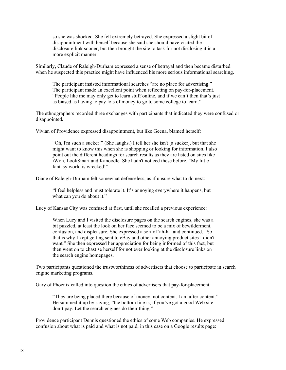so she was shocked. She felt extremely betrayed. She expressed a slight bit of disappointment with herself because she said she should have visited the disclosure link sooner, but then brought the site to task for not disclosing it in a more explicit manner.

Similarly, Claude of Raleigh-Durham expressed a sense of betrayal and then became disturbed when he suspected this practice might have influenced his more serious informational searching.

The participant insisted informational searches "are no place for advertising." The participant made an excellent point when reflecting on pay-for-placement. "People like me may only get to learn stuff online, and if we can't then that's just as biased as having to pay lots of money to go to some college to learn."

The ethnographers recorded three exchanges with participants that indicated they were confused or disappointed.

Vivian of Providence expressed disappointment, but like Geena, blamed herself:

"Oh, I'm such a sucker!" (She laughs.) I tell her she isn't [a sucker], but that she might want to know this when she is shopping or looking for information. I also point out the different headings for search results as they are listed on sites like iWon, LookSmart and Kanoodle. She hadn't noticed these before. "My little fantasy world is wrecked!"

Diane of Raleigh-Durham felt somewhat defenseless, as if unsure what to do next:

"I feel helpless and must tolerate it. It's annoying everywhere it happens, but what can you do about it."

Lucy of Kansas City was confused at first, until she recalled a previous experience:

When Lucy and I visited the disclosure pages on the search engines, she was a bit puzzled, at least the look on her face seemed to be a mix of bewilderment, confusion, and displeasure. She expressed a sort of 'ah-ha' and continued, "So that is why I kept getting sent to eBay and other annoying product sites I didn't want." She then expressed her appreciation for being informed of this fact, but then went on to chastise herself for not ever looking at the disclosure links on the search engine homepages.

Two participants questioned the trustworthiness of advertisers that choose to participate in search engine marketing programs.

Gary of Phoenix called into question the ethics of advertisers that pay-for-placement:

"They are being placed there because of money, not content. I am after content." He summed it up by saying, "the bottom line is, if you've got a good Web site don't pay. Let the search engines do their thing."

Providence participant Dennis questioned the ethics of some Web companies. He expressed confusion about what is paid and what is not paid, in this case on a Google results page: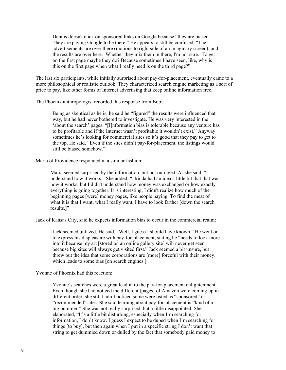Dennis doesn't click on sponsored links on Google because "they are biased. They are paying Google to be there." He appears to still be confused. "The advertisements are over there (motions to right side of an imaginary screen), and the results are over here. Whether they mix them in there, I'm not sure. To get on the first page maybe they do? Because sometimes I have seen, like, why is this on the first page when what I really need is on the third page?"

The last six participants, while initially surprised about pay-for-placement, eventually came to a more philosophical or realistic outlook. They characterized search engine marketing as a sort of price to pay, like other forms of Internet advertising that keep online information free.

The Phoenix anthropologist recorded this response from Bob:

Being as skeptical as he is, he said he "figured" the results were influenced that way, but he had never bothered to investigate. He was very interested in the 'about the search' pages. "[I]nformation bias is tolerable because any venture has to be profitable and if the Internet wasn't profitable it wouldn't exist." Anyway sometimes he's looking for commercial sites so it's good that they pay to get to the top. He said, "Even if the sites didn't pay-for-placement, the listings would still be biased somehow."

Maria of Providence responded in a similar fashion:

Maria seemed surprised by the information, but not outraged. As she said, "I understand how it works." She added, "I kinda had an idea a little bit that that was how it works, but I didn't understand how money was exchanged or how exactly everything is going together. It is interesting, I didn't realize how much of the beginning pages [were] money pages, like people paying. To find the meat of what it is that I want, what I really want, I have to look farther [down the search results.]"

Jack of Kansas City, said he expects information bias to occur in the commercial realm:

Jack seemed unfazed. He said, "Well, I guess I should have known." He went on to express his displeasure with pay-for-placement, stating he "needs to look more into it because my art [stored on an online gallery site] will never get seen because big sites will always get visited first." Jack seemed a bit unsure, but threw out the idea that some corporations are [more] forceful with their money, which leads to some bias [on search engines.]

Yvonne of Phoenix had this reaction:

Yvonne's searches were a great lead in to the pay-for-placement enlightenment. Even though she had noticed the different [pages] of Amazon were coming up in different order, she still hadn't noticed some were listed as "sponsored" or "recommended" sites. She said learning about pay-for-placement is "kind of a big bummer." She was not really surprised, but a little disappointed. She elaborated, "It's a little bit disturbing, especially when I'm searching for information, I don't know. I guess I expect to be duped when I'm searching for things [to buy], but then again when I put in a specific string I don't want that string to get dummied down or dulled by the fact that somebody paid money to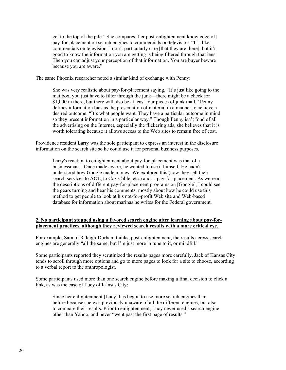get to the top of the pile." She compares [her post-enlightenment knowledge of] pay-for-placement on search engines to commercials on television. "It's like commercials on television. I don't particularly care [that they are there], but it's good to know the information you are getting is being filtered through that lens. Then you can adjust your perception of that information. You are buyer beware because you are aware."

The same Phoenix researcher noted a similar kind of exchange with Penny:

She was very realistic about pay-for-placement saying, "It's just like going to the mailbox, you just have to filter through the junk—there might be a check for \$1,000 in there, but there will also be at least four pieces of junk mail." Penny defines information bias as the presentation of material in a manner to achieve a desired outcome. "It's what people want. They have a particular outcome in mind so they present information in a particular way." Though Penny isn't fond of all the advertising on the Internet, especially the flickering ads, she believes that it is worth tolerating because it allows access to the Web sites to remain free of cost.

Providence resident Larry was the sole participant to express an interest in the disclosure information on the search site so he could use it for personal business purposes.

Larry's reaction to enlightenment about pay-for-placement was that of a businessman…Once made aware, he wanted to use it himself. He hadn't understood how Google made money. We explored this (how they sell their search services to AOL, to Cox Cable, etc.) and… pay-for-placement. As we read the descriptions of different pay-for-placement programs on [Google], I could see the gears turning and hear his comments, mostly about how he could use this method to get people to look at his not-for-profit Web site and Web-based database for information about marinas he writes for the Federal government.

### **2. No participant stopped using a favored search engine after learning about pay-forplacement practices, although they reviewed search results with a more critical eye.**

For example, Sara of Raleigh-Durham thinks, post-enlightenment, the results across search engines are generally "all the same, but I'm just more in tune to it, or mindful."

Some participants reported they scrutinized the results pages more carefully. Jack of Kansas City tends to scroll through more options and go to more pages to look for a site to choose, according to a verbal report to the anthropologist.

Some participants used more than one search engine before making a final decision to click a link, as was the case of Lucy of Kansas City:

Since her enlightenment [Lucy] has begun to use more search engines than before because she was previously unaware of all the different engines, but also to compare their results. Prior to enlightenment, Lucy never used a search engine other than Yahoo, and never "went past the first page of results."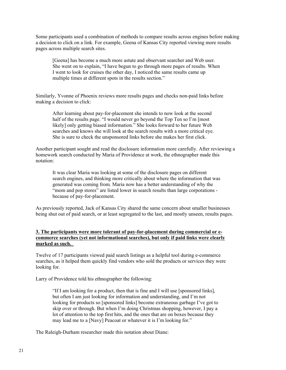Some participants used a combination of methods to compare results across engines before making a decision to click on a link. For example, Geena of Kansas City reported viewing more results pages across multiple search sites.

[Geena] has become a much more astute and observant searcher and Web user. She went on to explain, "I have begun to go through more pages of results. When I went to look for cruises the other day, I noticed the same results came up multiple times at different spots in the results section."

Similarly, Yvonne of Phoenix reviews more results pages and checks non-paid links before making a decision to click:

After learning about pay-for-placement she intends to now look at the second half of the results page. "I would never go beyond the Top Ten so I'm [most likely] only getting biased information." She looks forward to her future Web searches and knows she will look at the search results with a more critical eye. She is sure to check the unsponsored links before she makes her first click.

Another participant sought and read the disclosure information more carefully. After reviewing a homework search conducted by Maria of Providence at work, the ethnographer made this notation:

It was clear Maria was looking at some of the disclosure pages on different search engines, and thinking more critically about where the information that was generated was coming from. Maria now has a better understanding of why the "mom and pop stores" are listed lower in search results than large corporations because of pay-for-placement.

As previously reported, Jack of Kansas City shared the same concern about smaller businesses being shut out of paid search, or at least segregated to the last, and mostly unseen, results pages.

### **3. The participants were more tolerant of pay-for-placement during commercial or ecommerce searches (yet not informational searches), but only if paid links were clearly marked as such.**

Twelve of 17 participants viewed paid search listings as a helpful tool during e-commerce searches, as it helped them quickly find vendors who sold the products or services they were looking for.

Larry of Providence told his ethnographer the following:

"If I am looking for a product, then that is fine and I will use [sponsored links], but often I am just looking for information and understanding, and I'm not looking for products so [sponsored links] become extraneous garbage I've got to skip over or through. But when I'm doing Christmas shopping, however, I pay a lot of attention to the top first hits, and the ones that are on boxes because they may lead me to a [Navy] Peacoat or whatever it is I'm looking for."

The Raleigh-Durham researcher made this notation about Diane: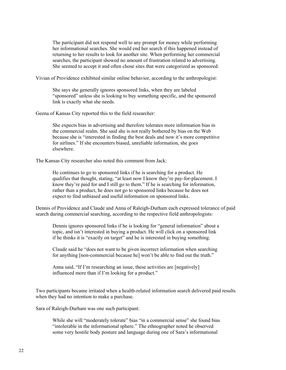The participant did not respond well to any prompt for money while performing her informational searches. She would end her search if this happened instead of returning to her results to look for another site. When performing her commercial searches, the participant showed no amount of frustration related to advertising. She seemed to accept it and often chose sites that were categorized as sponsored.

Vivian of Providence exhibited similar online behavior, according to the anthropologist:

She says she generally ignores sponsored links, when they are labeled "sponsored" unless she is looking to buy something specific, and the sponsored link is exactly what she needs.

Geena of Kansas City reported this to the field researcher:

She expects bias in advertising and therefore tolerates more information bias in the commercial realm. She said she is not really bothered by bias on the Web because she is "interested in finding the best deals and now it's more competitive for airlines." If she encounters biased, unreliable information, she goes elsewhere.

The Kansas City researcher also noted this comment from Jack:

He continues to go to sponsored links if he is searching for a product. He qualifies that thought, stating, "at least now I know they're pay-for-placement. I know they're paid for and I still go to them." If he is searching for information, rather than a product, he does not go to sponsored links because he does not expect to find unbiased and useful information on sponsored links.

Dennis of Providence and Claude and Anna of Raleigh-Durham each expressed tolerance of paid search during commercial searching, according to the respective field anthropologists:

Dennis ignores sponsored links if he is looking for "general information" about a topic, and isn't interested in buying a product. He will click on a sponsored link if he thinks it is "exactly on target" and he is interested in buying something.

Claude said he "does not want to be given incorrect information when searching for anything [non-commercial because he] won't be able to find out the truth."

Anna said, "If I'm researching an issue, these activities are [negatively] influenced more than if I'm looking for a product."

Two participants became irritated when a health-related information search delivered paid results when they had no intention to make a purchase.

Sara of Raleigh-Durham was one such participant:

While she will "moderately tolerate" bias "in a commercial sense" she found bias "intolerable in the informational sphere." The ethnographer noted he observed some very hostile body posture and language during one of Sara's informational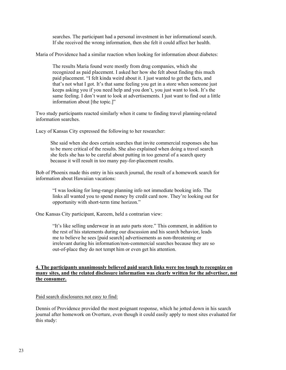searches. The participant had a personal investment in her informational search. If she received the wrong information, then she felt it could affect her health.

Maria of Providence had a similar reaction when looking for information about diabetes:

The results Maria found were mostly from drug companies, which she recognized as paid placement. I asked her how she felt about finding this much paid placement. "I felt kinda weird about it. I just wanted to get the facts, and that's not what I got. It's that same feeling you get in a store when someone just keeps asking you if you need help and you don't, you just want to look. It's the same feeling. I don't want to look at advertisements. I just want to find out a little information about [the topic.]"

Two study participants reacted similarly when it came to finding travel planning-related information searches.

Lucy of Kansas City expressed the following to her researcher:

She said when she does certain searches that invite commercial responses she has to be more critical of the results. She also explained when doing a travel search she feels she has to be careful about putting in too general of a search query because it will result in too many pay-for-placement results.

Bob of Phoenix made this entry in his search journal, the result of a homework search for information about Hawaiian vacations:

"I was looking for long-range planning info not immediate booking info. The links all wanted you to spend money by credit card now. They're looking out for opportunity with short-term time horizon."

One Kansas City participant, Kareem, held a contrarian view:

"It's like selling underwear in an auto parts store." This comment, in addition to the rest of his statements during our discussion and his search behavior, leads me to believe he sees [paid search] advertisements as non-threatening or irrelevant during his information/non-commercial searches because they are so out-of-place they do not tempt him or even get his attention.

### **4. The participants unanimously believed paid search links were too tough to recognize on many sites, and the related disclosure information was clearly written for the advertiser, not the consumer.**

Paid search disclosures not easy to find:

Dennis of Providence provided the most poignant response, which he jotted down in his search journal after homework on Overture, even though it could easily apply to most sites evaluated for this study: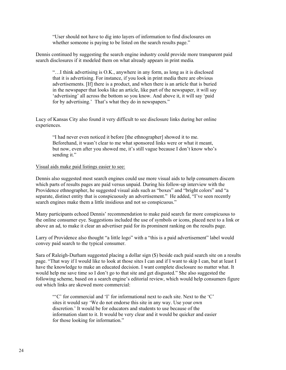"User should not have to dig into layers of information to find disclosures on whether someone is paying to be listed on the search results page."

Dennis continued by suggesting the search engine industry could provide more transparent paid search disclosures if it modeled them on what already appears in print media*.*

"…I think advertising is O.K., anywhere in any form, as long as it is disclosed that it is advertising. For instance, if you look in print media there are obvious advertisements. [If] there is a product, and when there is an article that is buried in the newspaper that looks like an article, like part of the newspaper, it will say 'advertising' all across the bottom so you know. And above it, it will say 'paid for by advertising.' That's what they do in newspapers."

Lucy of Kansas City also found it very difficult to see disclosure links during her online experiences.

"I had never even noticed it before [the ethnographer] showed it to me. Beforehand, it wasn't clear to me what sponsored links were or what it meant, but now, even after you showed me, it's still vague because I don't know who's sending it."

#### Visual aids make paid listings easier to see:

Dennis also suggested most search engines could use more visual aids to help consumers discern which parts of results pages are paid versus unpaid. During his follow-up interview with the Providence ethnographer, he suggested visual aids such as "boxes" and "bright colors" and "a separate, distinct entity that is conspicuously an advertisement." He added, "I've seen recently search engines make them a little insidious and not so conspicuous."

Many participants echoed Dennis' recommendation to make paid search far more conspicuous to the online consumer eye. Suggestions included the use of symbols or icons, placed next to a link or above an ad, to make it clear an advertiser paid for its prominent ranking on the results page.

Larry of Providence also thought "a little logo" with a "this is a paid advertisement" label would convey paid search to the typical consumer.

Sara of Raleigh-Durham suggested placing a dollar sign (\$) beside each paid search site on a results page. "That way if I would like to look at those sites I can and if I want to skip I can, but at least I have the knowledge to make an educated decision. I want complete disclosure no matter what. It would help me save time so I don't go to that site and get disgusted." She also suggested the following scheme, based on a search engine's editorial review, which would help consumers figure out which links are skewed more commercial:

"'C' for commercial and 'I' for informational next to each site. Next to the 'C' sites it would say 'We do not endorse this site in any way. Use your own discretion.' It would be for educators and students to use because of the information slant to it. It would be very clear and it would be quicker and easier for those looking for information."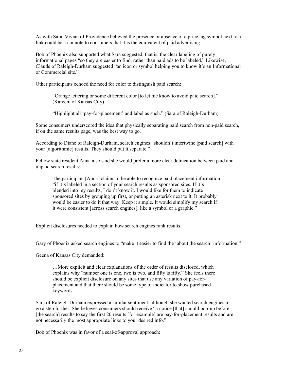As with Sara, Vivian of Providence believed the presence or absence of a price tag symbol next to a link could best connote to consumers that it is the equivalent of paid advertising.

Bob of Phoenix also supported what Sara suggested, that is, the clear labeling of purely informational pages "so they are easier to find, rather than paid ads to be labeled." Likewise, Claude of Raleigh-Durham suggested "an icon or symbol helping you to know it's an Informational or Commercial site."

Other participants echoed the need for color to distinguish paid search:

"Orange lettering or some different color [to let me know to avoid paid search]." (Kareem of Kansas City)

"Highlight all 'pay-for-placement' and label as such." (Sara of Raleigh-Durham)

Some consumers underscored the idea that physically separating paid search from non-paid search, if on the same results page, was the best way to go.

According to Diane of Raleigh-Durham, search engines "shouldn't intertwine [paid search] with your [algorithmic] results. They should put it separate."

Fellow state resident Anna also said she would prefer a more clear delineation between paid and unpaid search results:

The participant [Anna] claims to be able to recognize paid placement information "if it's labeled in a section of your search results as sponsored sites. If it's blended into my results, I don't know it. I would like for them to indicate sponsored sites by grouping up first, or putting an asterisk next to it. It probably would be easier to do it that way. Keep it simple. It would simplify my search if it were consistent [across search engines], like a symbol or a graphic."

#### Explicit disclosures needed to explain how search engines rank results:

Gary of Phoenix asked search engines to "make it easier to find the 'about the search' information."

Geena of Kansas City demanded:

…More explicit and clear explanations of the order of results disclosed, which explains why "number one is one, two is two, and fifty is fifty." She feels there should be explicit disclosure on any sites that use any variation of pay-forplacement and that there should be some type of indicator to show purchased keywords.

Sara of Raleigh-Durham expressed a similar sentiment, although she wanted search engines to go a step further. She believes consumers should receive "a notice [that] should pop-up before [the search] results to say the first 20 results [for example] are pay-for-placement results and are not necessarily the most appropriate links to your desired info."

Bob of Phoenix was in favor of a seal-of-approval approach: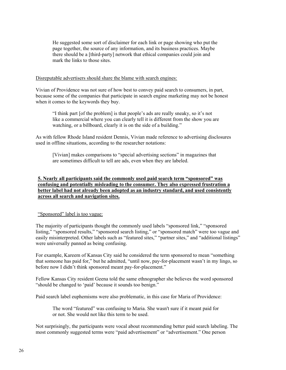He suggested some sort of disclaimer for each link or page showing who put the page together, the source of any information, and its business practices. Maybe there should be a [third-party] network that ethical companies could join and mark the links to those sites.

### Disreputable advertisers should share the blame with search engines:

Vivian of Providence was not sure of how best to convey paid search to consumers, in part, because some of the companies that participate in search engine marketing may not be honest when it comes to the keywords they buy.

"I think part [of the problem] is that people's ads are really sneaky, so it's not like a commercial where you can clearly tell it is different from the show you are watching, or a billboard, clearly it is on the side of a building."

As with fellow Rhode Island resident Dennis, Vivian made reference to advertising disclosures used in offline situations, according to the researcher notations:

[Vivian] makes comparisons to "special advertising sections" in magazines that are sometimes difficult to tell are ads, even when they are labeled.

### **5. Nearly all participants said the commonly used paid search term "sponsored" was confusing and potentially misleading to the consumer. They also expressed frustration a better label had not already been adopted as an industry standard, and used consistently across all search and navigation sites.**

### "Sponsored" label is too vague:

The majority of participants thought the commonly used labels "sponsored link," "sponsored listing," "sponsored results," "sponsored search listing," or "sponsored match" were too vague and easily misinterpreted. Other labels such as "featured sites," "partner sites," and "additional listings" were universally panned as being confusing.

For example, Kareem of Kansas City said he considered the term sponsored to mean "something that someone has paid for," but he admitted, "until now, pay-for-placement wasn't in my lingo, so before now I didn't think sponsored meant pay-for-placement."

Fellow Kansas City resident Geena told the same ethnographer she believes the word sponsored "should be changed to 'paid' because it sounds too benign."

Paid search label euphemisms were also problematic, in this case for Maria of Providence:

The word "featured" was confusing to Maria. She wasn't sure if it meant paid for or not. She would not like this term to be used.

Not surprisingly, the participants were vocal about recommending better paid search labeling. The most commonly suggested terms were "paid advertisement" or "advertisement." One person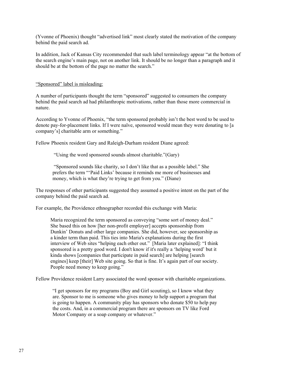(Yvonne of Phoenix) thought "advertised link" most clearly stated the motivation of the company behind the paid search ad.

In addition, Jack of Kansas City recommended that such label terminology appear "at the bottom of the search engine's main page, not on another link. It should be no longer than a paragraph and it should be at the bottom of the page no matter the search."

"Sponsored" label is misleading:

A number of participants thought the term "sponsored" suggested to consumers the company behind the paid search ad had philanthropic motivations, rather than those more commercial in nature.

According to Yvonne of Phoenix, "the term sponsored probably isn't the best word to be used to denote pay-for-placement links. If I were naïve, sponsored would mean they were donating to [a company's] charitable arm or something."

Fellow Phoenix resident Gary and Raleigh-Durham resident Diane agreed:

"Using the word sponsored sounds almost charitable."(Gary)

 "Sponsored sounds like charity, so I don't like that as a possible label." She prefers the term "'Paid Links' because it reminds me more of businesses and money, which is what they're trying to get from you." (Diane)

The responses of other participants suggested they assumed a positive intent on the part of the company behind the paid search ad.

For example, the Providence ethnographer recorded this exchange with Maria:

Maria recognized the term sponsored as conveying "some sort of money deal." She based this on how [her non-profit employer] accepts sponsorship from Dunkin' Donuts and other large companies. She did, however, see sponsorship as a kinder term than paid. This ties into Maria's explanations during the first interview of Web sites "helping each other out." [Maria later explained]: "I think sponsored is a pretty good word. I don't know if it's really a 'helping word' but it kinda shows [companies that participate in paid search] are helping [search engines] keep [their] Web site going. So that is fine. It's again part of our society. People need money to keep going."

Fellow Providence resident Larry associated the word sponsor with charitable organizations.

"I get sponsors for my programs (Boy and Girl scouting), so I know what they are. Sponsor to me is someone who gives money to help support a program that is going to happen. A community play has sponsors who donate \$50 to help pay the costs. And, in a commercial program there are sponsors on TV like Ford Motor Company or a soap company or whatever."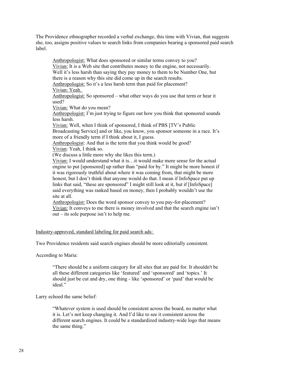The Providence ethnographer recorded a verbal exchange, this time with Vivian, that suggests she, too, assigns positive values to search links from companies bearing a sponsored paid search label.

Anthropologist: What does sponsored or similar terms convey to you? Vivian: It is a Web site that contributes money to the engine, not necessarily. Well it's less harsh than saying they pay money to them to be Number One, but there is a reason why this site did come up in the search results. Anthropologist: So it's a less harsh term than paid for placement? Vivian: Yeah. Anthropologist: So sponsored – what other ways do you use that term or hear it used? Vivian: What do you mean? Anthropologist: I'm just trying to figure out how you think that sponsored sounds less harsh. Vivian: Well, when I think of sponsored, I think of PBS [TV's Public Broadcasting Service] and or like, you know, you sponsor someone in a race. It's more of a friendly term if I think about it, I guess. Anthropologist: And that is the term that you think would be good? Vivian: Yeah, I think so. (We discuss a little more why she likes this term.) Vivian: I would understand what it is…it would make more sense for the actual engine to put [sponsored] up rather than "paid for by." It might be more honest if it was rigorously truthful about where it was coming from, that might be more honest, but I don't think that anyone would do that. I mean if InfoSpace put up links that said, "these are sponsored" I might still look at it, but if [InfoSpace]

said everything was ranked based on money, then I probably wouldn't use the site at all.

Anthropologist: Does the word sponsor convey to you pay-for-placement? Vivian: It conveys to me there is money involved and that the search engine isn't out – its sole purpose isn't to help me.

Industry-approved, standard labeling for paid search ads:

Two Providence residents said search engines should be more editorially consistent.

According to Maria:

"There should be a uniform category for all sites that are paid for. It shouldn't be all these different categories like 'featured' and 'sponsored' and 'topics.' It should just be cut and dry, one thing - like 'sponsored' or 'paid' that would be ideal"

Larry echoed the same belief:

"Whatever system is used should be consistent across the board, no matter what it is. Let's not keep changing it. And I'd like to see it consistent across the different search engines. It could be a standardized industry-wide logo that means the same thing."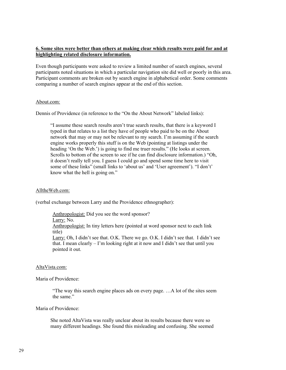### **6. Some sites were better than others at making clear which results were paid for and at highlighting related disclosure information.**

Even though participants were asked to review a limited number of search engines, several participants noted situations in which a particular navigation site did well or poorly in this area. Participant comments are broken out by search engine in alphabetical order. Some comments comparing a number of search engines appear at the end of this section.

#### About.com:

Dennis of Providence (in reference to the "On the About Network" labeled links):

"I assume these search results aren't true search results, that there is a keyword I typed in that relates to a list they have of people who paid to be on the About network that may or may not be relevant to my search. I'm assuming if the search engine works properly this stuff is on the Web (pointing at listings under the heading 'On the Web.') is going to find me truer results." (He looks at screen. Scrolls to bottom of the screen to see if he can find disclosure information.) "Oh, it doesn't really tell you. I guess I could go and spend some time here to visit some of these links" (small links to 'about us' and 'User agreement'). "I don't' know what the hell is going on."

### AlltheWeb.com:

(verbal exchange between Larry and the Providence ethnographer):

Anthropologist: Did you see the word sponsor?

Larry: No.

Anthropologist: In tiny letters here (pointed at word sponsor next to each link title)

Larry: Oh, I didn't see that. O.K. There we go. O.K. I didn't see that. I didn't see that. I mean clearly – I'm looking right at it now and I didn't see that until you pointed it out.

#### AltaVista.com:

Maria of Providence:

"The way this search engine places ads on every page. …A lot of the sites seem the same."

Maria of Providence:

She noted AltaVista was really unclear about its results because there were so many different headings. She found this misleading and confusing. She seemed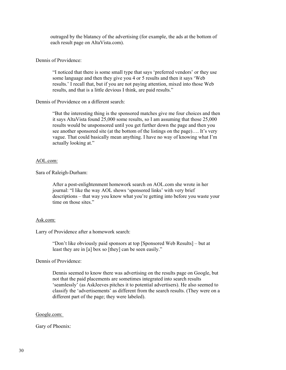outraged by the blatancy of the advertising (for example, the ads at the bottom of each result page on AltaVista.com).

### Dennis of Providence:

"I noticed that there is some small type that says 'preferred vendors' or they use some language and then they give you 4 or 5 results and then it says 'Web results.' I recall that, but if you are not paying attention, mixed into those Web results, and that is a little devious I think, are paid results."

#### Dennis of Providence on a different search:

"But the interesting thing is the sponsored matches give me four choices and then it says AltaVista found 25,000 some results, so I am assuming that those 25,000 results would be unsponsored until you get further down the page and then you see another sponsored site (at the bottom of the listings on the page)…. It's very vague. That could basically mean anything. I have no way of knowing what I'm actually looking at."

#### AOL.com:

Sara of Raleigh-Durham:

After a post-enlightenment homework search on AOL.com she wrote in her journal: "I like the way AOL shows 'sponsored links' with very brief descriptions – that way you know what you're getting into before you waste your time on those sites."

#### Ask.com:

Larry of Providence after a homework search:

"Don't like obviously paid sponsors at top [Sponsored Web Results] – but at least they are in [a] box so [they] can be seen easily."

Dennis of Providence:

Dennis seemed to know there was advertising on the results page on Google, but not that the paid placements are sometimes integrated into search results 'seamlessly' (as AskJeeves pitches it to potential advertisers). He also seemed to classify the 'advertisements' as different from the search results. (They were on a different part of the page; they were labeled).

#### Google.com:

Gary of Phoenix: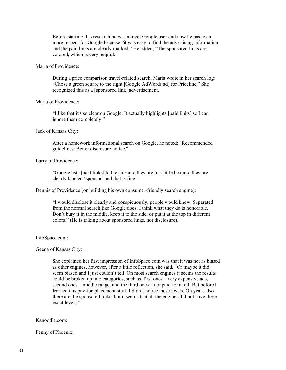Before starting this research he was a loyal Google user and now he has even more respect for Google because "it was easy to find the advertising information and the paid links are clearly marked." He added, "The sponsored links are colored, which is very helpful."

### Maria of Providence:

During a price comparison travel-related search, Maria wrote in her search log: "Chose a green square to the right [Google AdWords ad] for Priceline." She recognized this as a [sponsored link] advertisement.

### Maria of Providence:

"I like that it's so clear on Google. It actually highlights [paid links] so I can ignore them completely."

#### Jack of Kansas City:

After a homework informational search on Google, he noted: "Recommended guidelines: Better disclosure notice."

#### Larry of Providence:

"Google lists [paid links] to the side and they are in a little box and they are clearly labeled 'sponsor' and that is fine."

Dennis of Providence (on building his own consumer-friendly search engine):

"I would disclose it clearly and conspicuously, people would know. Separated from the normal search like Google does. I think what they do is honorable. Don't bury it in the middle, keep it to the side, or put it at the top in different colors." (He is talking about sponsored links, not disclosure).

#### InfoSpace.com:

#### Geena of Kansas City:

She explained her first impression of InfoSpace.com was that it was not as biased as other engines, however, after a little reflection, she said, "Or maybe it did seem biased and I just couldn't tell. On most search engines it seems the results could be broken up into categories, such as, first ones – very expensive ads, second ones – middle range, and the third ones – not paid for at all. But before I learned this pay-for-placement stuff, I didn't notice these levels. Oh yeah, also there are the sponsored links, but it seems that all the engines did not have these exact levels."

#### Kanoodle.com:

#### Penny of Phoenix: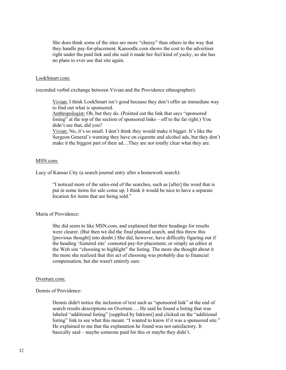She does think some of the sites are more "cheesy" than others in the way that they handle pay-for-placement. Kanoodle.com shows the cost to the advertiser right under the paid link and she said it made her feel kind of yucky, so she has no plans to ever use that site again.

#### LookSmart.com:

(recorded verbal exchange between Vivian and the Providence ethnographer):

Vivian: I think LookSmart isn't good because they don't offer an immediate way to find out what is sponsored.

Anthropologist: Oh, but they do. (Pointed out the link that says "sponsored listing" at the top of the section of sponsored links – off to the far right.) You didn't see that, did you?

Vivian: No, it's so small. I don't think they would make it bigger. It's like the Surgeon General's warning they have on cigarette and alcohol ads, but they don't make it the biggest part of their ad…They are not totally clear what they are.

#### MSN.com:

Lucy of Kansas City (a search journal entry after a homework search):

"I noticed more of the sales-end of the searches, such as [after] the word that is put in some items for sale come up. I think it would be nice to have a separate location for items that are being sold."

#### Maria of Providence:

She did seem to like MSN.com, and explained that their headings for results were clearer. (But then we did the final planned search, and this threw this [previous thought] into doubt.) She did, however, have difficulty figuring out if the heading 'featured site' connoted pay-for-placement, or simply an editor at the Web site "choosing to highlight" the listing. The more she thought about it the more she realized that this act of choosing was probably due to financial compensation, but she wasn't entirely sure.

#### Overture.com:

#### Dennis of Providence:

Dennis didn't notice the inclusion of text such as "sponsored link" at the end of search results descriptions on Overture…. He said he found a listing that was labeled "additional listing" [supplied by Inktomi] and clicked on the "additional listing" link to see what this meant. "I wanted to know if it was a sponsored site." He explained to me that the explanation he found was not satisfactory. It basically said – maybe someone paid for this or maybe they didn't.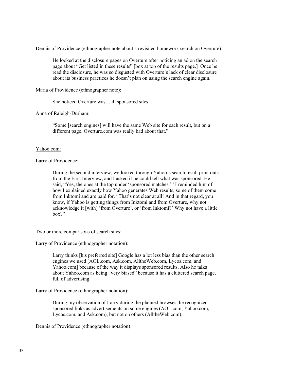Dennis of Providence (ethnographer note about a revisited homework search on Overture):

He looked at the disclosure pages on Overture after noticing an ad on the search page about "Get listed in these results" [box at top of the results page.] Once he read the disclosure, he was so disgusted with Overture's lack of clear disclosure about its business practices he doesn't plan on using the search engine again.

Maria of Providence (ethnographer note):

She noticed Overture was…all sponsored sites.

Anna of Raleigh-Durham:

"Some [search engines] will have the same Web site for each result, but on a different page. Overture.com was really bad about that."

#### Yahoo.com:

Larry of Providence:

During the second interview, we looked through Yahoo's search result print outs from the First Interview, and I asked if he could tell what was sponsored. He said, "Yes, the ones at the top under 'sponsored matches.'" I reminded him of how I explained exactly how Yahoo generates Web results, some of them come from Inktomi and are paid for. "That's not clear at all! And in that regard, you know, if Yahoo is getting things from Inktomi and from Overture, why not acknowledge it [with] 'from Overture', or 'from Inktomi?' Why not have a little box?"

#### Two or more comparisons of search sites:

Larry of Providence (ethnographer notation):

Larry thinks [his preferred site] Google has a lot less bias than the other search engines we used [AOL.com, Ask.com, AlltheWeb.com, Lycos.com, and Yahoo.com] because of the way it displays sponsored results. Also he talks about Yahoo.com as being "very biased" because it has a cluttered search page, full of advertising.

Larry of Providence (ethnographer notation):

During my observation of Larry during the planned browses, he recognized sponsored links as advertisements on some engines (AOL.com, Yahoo.com, Lycos.com, and Ask.com), but not on others (AlltheWeb.com).

Dennis of Providence (ethnographer notation):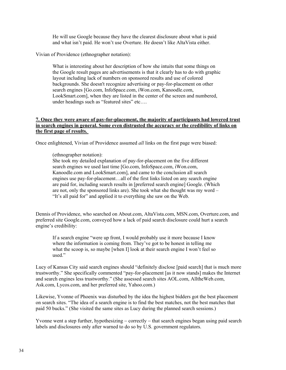He will use Google because they have the clearest disclosure about what is paid and what isn't paid. He won't use Overture. He doesn't like AltaVista either.

Vivian of Providence (ethnographer notation):

What is interesting about her description of how she intuits that some things on the Google result pages are advertisements is that it clearly has to do with graphic layout including lack of numbers on sponsored results and use of colored backgrounds. She doesn't recognize advertising or pay-for-placement on other search engines [Go.com, InfoSpace.com, iWon.com, Kanoodle.com, LookSmart.com], when they are listed in the center of the screen and numbered, under headings such as "featured sites" etc....

### **7. Once they were aware of pay-for-placement, the majority of participants had lowered trust in search engines in general. Some even distrusted the accuracy or the credibility of links on the first page of results.**

Once enlightened, Vivian of Providence assumed *all* links on the first page were biased:

(ethnographer notation):

She took my detailed explanation of pay-for-placement on the five different search engines we used last time [Go.com, InfoSpace.com, iWon.com, Kanoodle.com and LookSmart.com], and came to the conclusion all search engines use pay-for-placement…all of the first links listed on any search engine are paid for, including search results in [preferred search engine] Google. (Which are not, only the sponsored links are). She took what she thought was my word – "It's all paid for" and applied it to everything she saw on the Web.

Dennis of Providence, who searched on About.com, AltaVista.com, MSN.com, Overture.com, and preferred site Google.com, conveyed how a lack of paid search disclosure could hurt a search engine's credibility:

If a search engine "were up front, I would probably use it more because I know where the information is coming from. They've got to be honest in telling me what the scoop is, so maybe [when I] look at their search engine I won't feel so used."

Lucy of Kansas City said search engines should "definitely disclose [paid search] that is much more trustworthy." She specifically commented "pay-for-placement [as it now stands] makes the Internet and search engines less trustworthy." (She assessed search sites AOL.com, AlltheWeb.com, Ask.com, Lycos.com, and her preferred site, Yahoo.com.)

Likewise, Yvonne of Phoenix was disturbed by the idea the highest bidders got the best placement on search sites. "The idea of a search engine is to find the best matches, not the best matches that paid 50 bucks." (She visited the same sites as Lucy during the planned search sessions.)

Yvonne went a step further, hypothesizing – correctly – that search engines began using paid search labels and disclosures only after warned to do so by U.S. government regulators.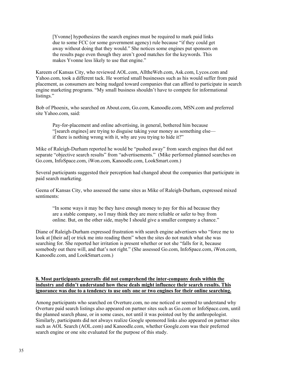[Yvonne] hypothesizes the search engines must be required to mark paid links due to some FCC (or some government agency) rule because "if they could get away without doing that they would." She notices some engines put sponsors on the results page even though they aren't good matches for the keywords. This makes Yvonne less likely to use that engine."

Kareem of Kansas City, who reviewed AOL.com, AlltheWeb.com, Ask.com, Lycos.com and Yahoo.com, took a different tack. He worried small businesses such as his would suffer from paid placement, as consumers are being nudged toward companies that can afford to participate in search engine marketing programs. "My small business shouldn't have to compete for informational listings."

Bob of Phoenix, who searched on About.com, Go.com, Kanoodle.com, MSN.com and preferred site Yahoo.com, said:

Pay-for-placement and online advertising, in general, bothered him because "[search engines] are trying to disguise taking your money as something else if there is nothing wrong with it, why are you trying to hide it?"

Mike of Raleigh-Durham reported he would be "pushed away" from search engines that did not separate "objective search results" from "advertisements." (Mike performed planned searches on Go.com, InfoSpace.com, iWon.com, Kanoodle.com, LookSmart.com.)

Several participants suggested their perception had changed about the companies that participate in paid search marketing.

Geena of Kansas City, who assessed the same sites as Mike of Raleigh-Durham, expressed mixed sentiments:

"In some ways it may be they have enough money to pay for this ad because they are a stable company, so I may think they are more reliable or safer to buy from online. But, on the other side, maybe I should give a smaller company a chance."

Diane of Raleigh-Durham expressed frustration with search engine advertisers who "force me to look at [their ad] or trick me into reading them" when the sites do not match what she was searching for. She reported her irritation is present whether or not she "falls for it, because somebody out there will, and that's not right." (She assessed Go.com, InfoSpace.com, iWon.com, Kanoodle.com, and LookSmart.com.)

### **8. Most participants generally did not comprehend the inter-company deals within the industry and didn't understand how these deals might influence their search results. This ignorance was due to a tendency to use only one or two engines for their online searching.**

Among participants who searched on Overture.com, no one noticed or seemed to understand why Overture paid search listings also appeared on partner sites such as Go.com or InfoSpace.com, until the planned search phase, or in some cases, not until it was pointed out by the anthropologist. Similarly, participants did not always realize Google sponsored links also appeared on partner sites such as AOL Search (AOL.com) and Kanoodle.com, whether Google.com was their preferred search engine or one site evaluated for the purpose of this study.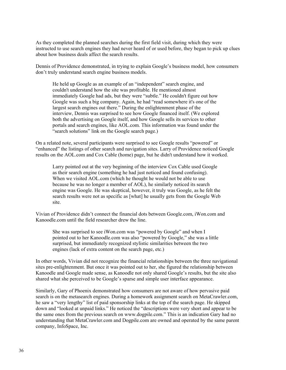As they completed the planned searches during the first field visit, during which they were instructed to use search engines they had never heard of or used before, they began to pick up clues about how business deals affect the search results.

Dennis of Providence demonstrated, in trying to explain Google's business model, how consumers don't truly understand search engine business models.

He held up Google as an example of an "independent" search engine, and couldn't understand how the site was profitable. He mentioned almost immediately Google had ads, but they were "subtle." He couldn't figure out how Google was such a big company. Again, he had "read somewhere it's one of the largest search engines out there." During the enlightenment phase of the interview, Dennis was surprised to see how Google financed itself. (We explored both the advertising on Google itself, and how Google sells its services to other portals and search engines, like AOL.com. This information was found under the "search solutions" link on the Google search page.)

On a related note, several participants were surprised to see Google results "powered" or "enhanced" the listings of other search and navigation sites. Larry of Providence noticed Google results on the AOL.com and Cox Cable (home) page, but he didn't understand how it worked.

Larry pointed out at the very beginning of the interview Cox Cable used Google as their search engine (something he had just noticed and found confusing). When we visited AOL.com (which he thought he would not be able to use because he was no longer a member of AOL), he similarly noticed its search engine was Google. He was skeptical, however, it truly was Google, as he felt the search results were not as specific as [what] he usually gets from the Google Web site.

Vivian of Providence didn't connect the financial dots between Google.com, iWon.com and Kanoodle.com until the field researcher drew the line.

She was surprised to see iWon.com was "powered by Google" and when I pointed out to her Kanoodle.com was also "powered by Google," she was a little surprised, but immediately recognized stylistic similarities between the two engines (lack of extra content on the search page, etc.)

In other words, Vivian did not recognize the financial relationships between the three navigational sites pre-enlightenment. But once it was pointed out to her, she figured the relationship between Kanoodle and Google made sense, as Kanoodle not only shared Google's results, but the site also shared what she perceived to be Google's sparse and simple user interface appearance.

Similarly, Gary of Phoenix demonstrated how consumers are not aware of how pervasive paid search is on the metasearch engines. During a homework assignment search on MetaCrawler.com, he saw a "very lengthy" list of paid sponsorship links at the top of the search page. He skipped down and "looked at unpaid links." He noticed the "descriptions were very short and appear to be the same ones from the previous search on [www.dogpile.com.](http://www.dogpile.com/)" This is an indication Gary had no understanding that MetaCrawler.com and Dogpile.com are owned and operated by the same parent company, InfoSpace, Inc.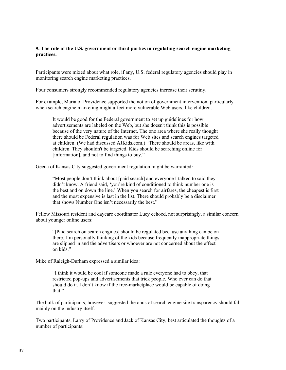### **9. The role of the U.S. government or third parties in regulating search engine marketing practices.**

Participants were mixed about what role, if any, U.S. federal regulatory agencies should play in monitoring search engine marketing practices.

Four consumers strongly recommended regulatory agencies increase their scrutiny.

For example, Maria of Providence supported the notion of government intervention, particularly when search engine marketing might affect more vulnerable Web users, like children.

It would be good for the Federal government to set up guidelines for how advertisements are labeled on the Web, but she doesn't think this is possible because of the very nature of the Internet. The one area where she really thought there should be Federal regulation was for Web sites and search engines targeted at children. (We had discussed AJKids.com.) "There should be areas, like with children. They shouldn't be targeted. Kids should be searching online for [information], and not to find things to buy."

Geena of Kansas City suggested government regulation might be warranted*:* 

"Most people don't think about [paid search] and everyone I talked to said they didn't know. A friend said, 'you're kind of conditioned to think number one is the best and on down the line.' When you search for airfares, the cheapest is first and the most expensive is last in the list. There should probably be a disclaimer that shows Number One isn't necessarily the best."

Fellow Missouri resident and daycare coordinator Lucy echoed, not surprisingly, a similar concern about younger online users:

"[Paid search on search engines] should be regulated because anything can be on there. I'm personally thinking of the kids because frequently inappropriate things are slipped in and the advertisers or whoever are not concerned about the effect on kids."

Mike of Raleigh-Durham expressed a similar idea:

"I think it would be cool if someone made a rule everyone had to obey, that restricted pop-ups and advertisements that trick people. Who ever can do that should do it. I don't know if the free-marketplace would be capable of doing that."

The bulk of participants, however, suggested the onus of search engine site transparency should fall mainly on the industry itself.

Two participants, Larry of Providence and Jack of Kansas City, best articulated the thoughts of a number of participants: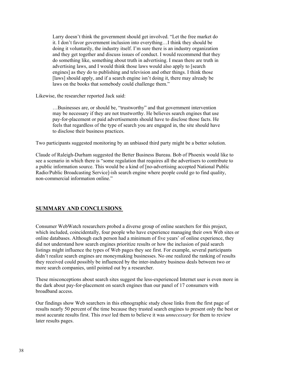Larry doesn't think the government should get involved. "Let the free market do it. I don't favor government inclusion into everything…I think they should be doing it voluntarily, the industry itself. I'm sure there is an industry organization and they get together and discuss issues of conduct. I would recommend that they do something like, something about truth in advertising. I mean there are truth in advertising laws, and I would think those laws would also apply to [search engines] as they do to publishing and television and other things. I think those [laws] should apply, and if a search engine isn't doing it, there may already be laws on the books that somebody could challenge them."

Likewise, the researcher reported Jack said:

…Businesses are, or should be, "trustworthy" and that government intervention may be necessary if they are not trustworthy. He believes search engines that use pay-for-placement or paid advertisements should have to disclose those facts. He feels that regardless of the type of search you are engaged in, the site should have to disclose their business practices.

Two participants suggested monitoring by an unbiased third party might be a better solution.

Claude of Raleigh-Durham suggested the Better Business Bureau. Bob of Phoenix would like to see a scenario in which there is "some regulation that requires all the advertisers to contribute to a public information source. This would be a kind of [no-advertising accepted National Public Radio/Public Broadcasting Service]-ish search engine where people could go to find quality, non-commercial information online."

### <span id="page-37-0"></span>**SUMMARY AND CONCLUSIONS**

Consumer WebWatch researchers probed a diverse group of online searchers for this project, which included, coincidentally, four people who have experience managing their own Web sites or online databases. Although each person had a minimum of five years' of online experience, they did not understand how search engines prioritize results or how the inclusion of paid search listings might influence the types of Web pages they see first. For example, several participants didn't realize search engines are moneymaking businesses. No one realized the ranking of results they received could possibly be influenced by the inter-industry business deals between two or more search companies, until pointed out by a researcher.

These misconceptions about search sites suggest the less-experienced Internet user is even more in the dark about pay-for-placement on search engines than our panel of 17 consumers with broadband access.

Our findings show Web searchers in this ethnographic study chose links from the first page of results nearly 50 percent of the time because they trusted search engines to present only the best or most accurate results first. This *trust* led them to believe it was *unnecessary* for them to review later results pages.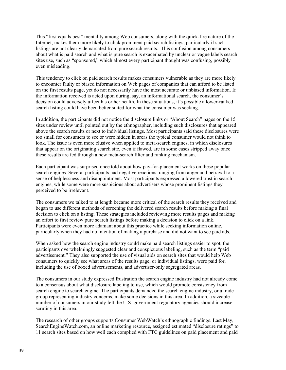This "first equals best" mentality among Web consumers, along with the quick-fire nature of the Internet, makes them more likely to click prominent paid search listings, particularly if such listings are not clearly demarcated from pure search results. This confusion among consumers about what is paid search and what is pure search is exacerbated by unclear or vague labels search sites use, such as "sponsored," which almost every participant thought was confusing, possibly even misleading.

This tendency to click on paid search results makes consumers vulnerable as they are more likely to encounter faulty or biased information on Web pages of companies that can afford to be listed on the first results page, yet do not necessarily have the most accurate or unbiased information. If the information received is acted upon during, say, an informational search, the consumer's decision could adversely affect his or her health. In these situations, it's possible a lower-ranked search listing could have been better suited for what the consumer was seeking.

In addition, the participants did not notice the disclosure links or "About Search" pages on the 15 sites under review until pointed out by the ethnographer, including such disclosures that appeared above the search results or next to individual listings. Most participants said these disclosures were too small for consumers to see or were hidden in areas the typical consumer would not think to look. The issue is even more elusive when applied to meta-search engines, in which disclosures that appear on the originating search site, even if flawed, are in some cases stripped away once these results are fed through a new meta-search filter and ranking mechanism.

Each participant was surprised once told about how pay-for-placement works on these popular search engines. Several participants had negative reactions, ranging from anger and betrayal to a sense of helplessness and disappointment. Most participants expressed a lowered trust in search engines, while some were more suspicious about advertisers whose prominent listings they perceived to be irrelevant.

The consumers we talked to at length became more critical of the search results they received and began to use different methods of screening the delivered search results before making a final decision to click on a listing. These strategies included reviewing more results pages and making an effort to first review pure search listings before making a decision to click on a link. Participants were even more adamant about this practice while seeking information online, particularly when they had no intention of making a purchase and did not want to see paid ads.

When asked how the search engine industry could make paid search listings easier to spot, the participants overwhelmingly suggested clear and conspicuous labeling, such as the term "paid advertisement." They also supported the use of visual aids on search sites that would help Web consumers to quickly see what areas of the results page, or individual listings, were paid for, including the use of boxed advertisements, and advertiser-only segregated areas.

The consumers in our study expressed frustration the search engine industry had not already come to a consensus about what disclosure labeling to use, which would promote consistency from search engine to search engine. The participants demanded the search engine industry, or a trade group representing industry concerns, make some decisions in this area. In addition, a sizeable number of consumers in our study felt the U.S. government regulatory agencies should increase scrutiny in this area.

The research of other groups supports Consumer WebWatch's ethnographic findings. Last May, SearchEngineWatch.com, an online marketing resource, assigned estimated "disclosure ratings" to 11 search sites based on how well each complied with FTC guidelines on paid placement and paid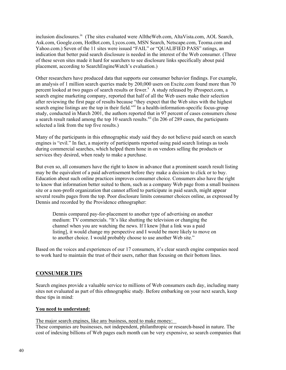inclusion disclosures.<sup>ix</sup> (The sites evaluated were AlltheWeb.com, AltaVista.com, AOL Search, Ask.com, Google.com, HotBot.com, Lycos.com, MSN Search, Netscape.com, Teoma.com and Yahoo.com.) Seven of the 11 sites were issued "FAIL" or "QUALIFIED PASS" ratings, an indication that better paid search disclosure is needed in the interest of the Web consumer. (Three of these seven sites made it hard for searchers to see disclosure links specifically about paid placement, according to SearchEngineWatch's evaluation.)

Other researchers have produced data that supports our consumer behavior findings. For example, an analysis of 1 million search queries made by 200,000 users on Excite.com found more than 70 percent looked at two pages of search results or fewer.<sup>[x](#page-65-9)</sup> A study released by iProspect.com, a search engine marketing company, reported that half of all the Web users make their selection after reviewing the first page of results because "they expect that the Web sites with the highest search engine listings are the top in their field." In a health-information-specific focus-group study, conducted in March 2001, the authors reported that in 97 percent of cases consumers chose a search result ranked among the top 10 search results.<sup> $xi$ ii</sup> (In 206 of 289 cases, the participants selected a link from the top five results.)

Many of the participants in this ethnographic study said they do not believe paid search on search engines is "evil." In fact, a majority of participants reported using paid search listings as tools during commercial searches, which helped them hone in on vendors selling the products or services they desired, when ready to make a purchase.

But even so, all consumers have the right to know in advance that a prominent search result listing may be the equivalent of a paid advertisement before they make a decision to click or to buy. Education about such online practices improves consumer choice. Consumers also have the right to know that information better suited to them, such as a company Web page from a small business site or a non-profit organization that cannot afford to participate in paid search, might appear several results pages from the top. Poor disclosure limits consumer choices online, as expressed by Dennis and recorded by the Providence ethnographer:

Dennis compared pay-for-placement to another type of advertising on another medium: TV commercials. "It's like shutting the television or changing the channel when you are watching the news. If I knew [that a link was a paid listing], it would change my perspective and I would be more likely to move on to another choice. I would probably choose to use another Web site."

Based on the voices and experiences of our 17 consumers, it's clear search engine companies need to work hard to maintain the trust of their users, rather than focusing on their bottom lines.

### <span id="page-39-0"></span>**CONSUMER TIPS**

Search engines provide a valuable service to millions of Web consumers each day, including many sites not evaluated as part of this ethnographic study. Before embarking on your next search, keep these tips in mind:

### **You need to understand:**

The major search engines, like any business, need to make money:

These companies are businesses, not independent, philanthropic or research-based in nature. The cost of indexing billions of Web pages each month can be very expensive, so search companies that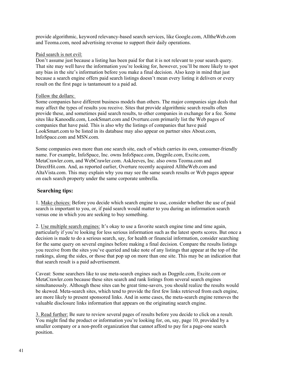provide algorithmic, keyword relevancy-based search services, like Google.com, AlltheWeb.com and Teoma.com, need advertising revenue to support their daily operations.

#### Paid search is not evil:

Don't assume just because a listing has been paid for that it is not relevant to your search query. That site may well have the information you're looking for, however, you'll be more likely to spot any bias in the site's information before you make a final decision. Also keep in mind that just because a search engine offers paid search listings doesn't mean every listing it delivers or every result on the first page is tantamount to a paid ad.

#### Follow the dollars:

Some companies have different business models than others. The major companies sign deals that may affect the types of results you receive. Sites that provide algorithmic search results often provide these, and sometimes paid search results, to other companies in exchange for a fee. Some sites like Kanoodle.com, LookSmart.com and Overture.com primarily list the Web pages of companies that have paid. This is also why the listings of companies that have paid LookSmart.com to be listed in its database may also appear on partner sites About.com, InfoSpace.com and MSN.com.

Some companies own more than one search site, each of which carries its own, consumer-friendly name. For example, InfoSpace, Inc. owns InfoSpace.com, Dogpile.com, Excite.com, MetaCrawler.com, and WebCrawler.com. AskJeeves, Inc. also owns Teoma.com and DirectHit.com. And, as reported earlier, Overture recently acquired AlltheWeb.com and AltaVista.com. This may explain why you may see the same search results or Web pages appear on each search property under the same corporate umbrella.

### **Searching tips:**

1. Make choices: Before you decide which search engine to use, consider whether the use of paid search is important to you, or, if paid search would matter to you during an information search versus one in which you are seeking to buy something.

2. Use multiple search engines: It's okay to use a favorite search engine time and time again, particularly if you're looking for less serious information such as the latest sports scores. But once a decision is made to do a serious search, say, for health or financial information, consider searching for the same query on several engines before making a final decision. Compare the results listings you receive from the sites you've queried and take note of any listings that appear at the top of the rankings, along the sides, or those that pop up on more than one site. This may be an indication that that search result is a paid advertisement.

Caveat: Some searchers like to use meta-search engines such as Dogpile.com, Excite.com or MetaCrawler.com because these sites search and rank listings from several search engines simultaneously. Although these sites can be great time-savers, you should realize the results would be skewed. Meta-search sites, which tend to provide the first few links retrieved from each engine, are more likely to present sponsored links. And in some cases, the meta-search engine removes the valuable disclosure links information that appears on the originating search engine.

3. Read further: Be sure to review several pages of results before you decide to click on a result. You might find the product or information you're looking for, on, say, page 10, provided by a smaller company or a non-profit organization that cannot afford to pay for a page-one search position.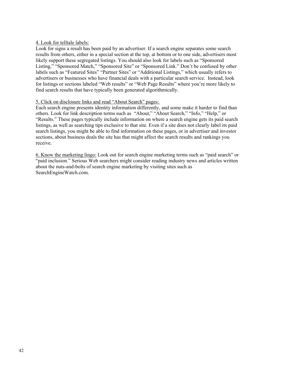### 4. Look for telltale labels:

Look for signs a result has been paid by an advertiser. If a search engine separates some search results from others, either in a special section at the top, at bottom or to one side, advertisers most likely support these segregated listings. You should also look for labels such as "Sponsored Listing," "Sponsored Match," "Sponsored Site" or "Sponsored Link." Don't be confused by other labels such as "Featured Sites" "Partner Sites" or "Additional Listings," which usually refers to advertisers or businesses who have financial deals with a particular search service. Instead, look for listings or sections labeled "Web results" or "Web Page Results" where you're more likely to find search results that have typically been generated algorithmically.

### 5. Click on disclosure links and read "About Search" pages:

Each search engine presents identity information differently, and some make it harder to find than others. Look for link description terms such as "About," "About Search," "Info," "Help," or "Results." These pages typically include information on where a search engine gets its paid search listings, as well as searching tips exclusive to that site. Even if a site does not clearly label its paid search listings, you might be able to find information on these pages, or in advertiser and investor sections, about business deals the site has that might affect the search results and rankings you receive.

6. Know the marketing lingo: Look out for search engine marketing terms such as "paid search" or "paid inclusion." Serious Web searchers might consider reading industry news and articles written about the nuts-and-bolts of search engine marketing by visiting sites such as SearchEngineWatch.com.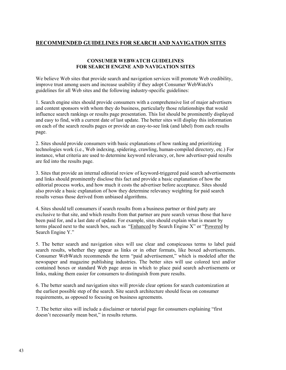### <span id="page-42-0"></span>**RECOMMENDED GUIDELINES FOR SEARCH AND NAVIGATION SITES**

#### **CONSUMER WEBWATCH GUIDELINES FOR SEARCH ENGINE AND NAVIGATION SITES**

We believe Web sites that provide search and navigation services will promote Web credibility, improve trust among users and increase usability if they adopt Consumer WebWatch's [guidelines for all Web sites](http://www.consumerwebwatch.org/bestpractices/index.html) and the following industry-specific guidelines:

1. Search engine sites should provide consumers with a comprehensive list of major advertisers and content sponsors with whom they do business, particularly those relationships that would influence search rankings or results page presentation. This list should be prominently displayed and easy to find, with a current date of last update. The better sites will display this information on each of the search results pages or provide an easy-to-see link (and label) from each results page.

2. Sites should provide consumers with basic explanations of how ranking and prioritizing technologies work (i.e., Web indexing, spidering, crawling, human-compiled directory, etc.) For instance, what criteria are used to determine keyword relevancy, or, how advertiser-paid results are fed into the results page.

3. Sites that provide an internal editorial review of keyword-triggered paid search advertisements and links should prominently disclose this fact and provide a basic explanation of how the editorial process works, and how much it costs the advertiser before acceptance. Sites should also provide a basic explanation of how they determine relevancy weighting for paid search results versus those derived from unbiased algorithms.

4. Sites should tell consumers if search results from a business partner or third party are exclusive to that site, and which results from that partner are pure search versus those that have been paid for, and a last date of update. For example, sites should explain what is meant by terms placed next to the search box, such as "Enhanced by Search Engine X" or "Powered by Search Engine Y."

5. The better search and navigation sites will use clear and conspicuous terms to label paid search results, whether they appear as links or in other formats, like boxed advertisements. Consumer WebWatch recommends the term "paid advertisement," which is modeled after the newspaper and magazine publishing industries. The better sites will use colored text and/or contained boxes or standard Web page areas in which to place paid search advertisements or links, making them easier for consumers to distinguish from pure results.

6. The better search and navigation sites will provide clear options for search customization at the earliest possible step of the search. Site search architecture should focus on consumer requirements, as opposed to focusing on business agreements.

7. The better sites will include a disclaimer or tutorial page for consumers explaining "first doesn't necessarily mean best," in results returns.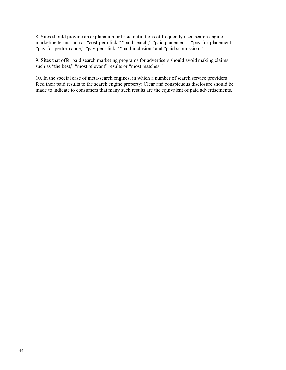8. Sites should provide an explanation or basic definitions of frequently used search engine marketing terms such as "cost-per-click," "paid search," "paid placement," "pay-for-placement," "pay-for-performance," "pay-per-click," "paid inclusion" and "paid submission."

9. Sites that offer paid search marketing programs for advertisers should avoid making claims such as "the best," "most relevant" results or "most matches."

10. In the special case of meta-search engines, in which a number of search service providers feed their paid results to the search engine property: Clear and conspicuous disclosure should be made to indicate to consumers that many such results are the equivalent of paid advertisements.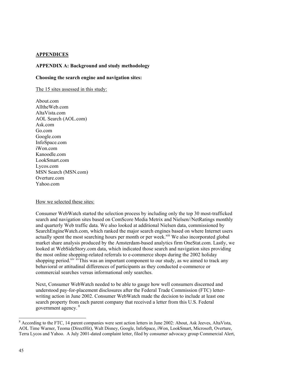### <span id="page-44-0"></span>**APPENDICES**

### **APPENDIX A: Background and study methodology**

#### **Choosing the search engine and navigation sites:**

The 15 sites assessed in this study:

About.com AlltheWeb.com AltaVista.com AOL Search (AOL.com) Ask.com Go.com Google.com InfoSpace.com iWon.com Kanoodle.com LookSmart.com Lycos.com MSN Search (MSN.com) Overture.com Yahoo.com

#### How we selected these sites:

Consumer WebWatch started the selection process by including only the top 30 most-trafficked search and navigation sites based on ComScore Media Metrix and Nielsen//NetRatings monthly and quarterly Web traffic data. We also looked at additional Nielsen data, commissioned by SearchEngineWatch.com, which ranked the major search engines based on where Internet users actually spent the most searching hours per month or per week.<sup>xiii</sup> We also incorporated global market share analysis produced by the Amsterdam-based analytics firm OneStat.com. Lastly, we looked at WebSideStory.com data, which indicated those search and navigation sites providing the most online shopping-related referrals to e-commerce shops during the 2002 holiday shopping period.<sup>[xiv](#page-65-13) xv</sup>This was an important component to our study, as we aimed to track any behavioral or attitudinal differences of participants as they conducted e-commerce or commercial searches versus informational only searches.

Next, Consumer WebWatch needed to be able to gauge how well consumers discerned and understood pay-for-placement disclosures after the Federal Trade Commission (FTC) letterwriting action in June 2002. Consumer WebWatch made the decision to include at least one search property from each parent company that received a letter from this U.S. Federal government agency. [8](#page-44-1)

l

<span id="page-44-1"></span> $8$  According to the FTC, 14 parent companies were sent action letters in June 2002: About, Ask Jeeves, AltaVista, AOL Time Warner, Teoma (DirectHit), Walt Disney, Google, InfoSpace, iWon, LookSmart, Microsoft, Overture, Terra Lycos and Yahoo. A July 2001-dated complaint letter, filed by consumer advocacy group Commercial Alert,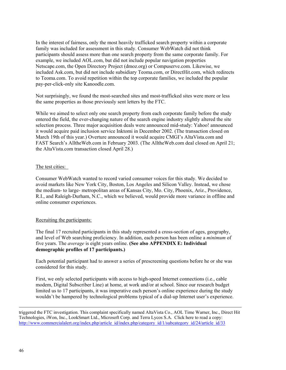In the interest of fairness, only the most heavily trafficked search property within a corporate family was included for assessment in this study. Consumer WebWatch did not think participants should assess more than one search property from the same corporate family. For example, we included AOL.com, but did not include popular navigation properties Netscape.com, the Open Directory Project (dmoz.org) or Compuserve.com. Likewise, we included Ask.com, but did not include subsidiary Teoma.com, or DirectHit.com, which redirects to Teoma.com. To avoid repetition within the top corporate families, we included the popular pay-per-click-only site Kanoodle.com.

Not surprisingly, we found the most-searched sites and most-trafficked sites were more or less the same properties as those previously sent letters by the FTC.

While we aimed to select only one search property from each corporate family before the study entered the field, the ever-changing nature of the search engine industry slightly altered the site selection process. Three major acquisition deals were announced mid-study: Yahoo! announced it would acquire paid inclusion service Inktomi in December 2002. (The transaction closed on March 19th of this year.) Overture announced it would acquire CMGI's AltaVista.com and FAST Search's AlltheWeb.com in February 2003. (The AlltheWeb.com deal closed on April 21; the AltaVista.com transaction closed April 28.)

### The test cities:

Consumer WebWatch wanted to record varied consumer voices for this study. We decided to avoid markets like New York City, Boston, Los Angeles and Silicon Valley. Instead, we chose the medium- to large- metropolitan areas of Kansas City, Mo. City, Phoenix, Ariz., Providence, R.I., and Raleigh-Durham, N.C., which we believed, would provide more variance in offline and online consumer experiences.

### Recruiting the participants:

The final 17 recruited participants in this study represented a cross-section of ages, geography, and level of Web searching proficiency. In addition, each person has been online a *minimum* of five years. The *average* is eight years online. **(See also APPENDIX E: Individual demographic profiles of 17 participants.)**

Each potential participant had to answer a series of prescreening questions before he or she was considered for this study.

First, we only selected participants with access to high-speed Internet connections (i.e., cable modem, Digital Subscriber Line) at home, at work and/or at school. Since our research budget limited us to 17 participants, it was imperative each person's online experience during the study wouldn't be hampered by technological problems typical of a dial-up Internet user's experience.

triggered the FTC investigation. This complaint specifically named AltaVista Co., AOL Time Warner, Inc., Direct Hit Technologies, iWon, Inc., LookSmart Ltd., Microsoft Corp. and Terra Lycos S.A. Click here to read a copy: http://www.commercialalert.org/index.php/article\_id/index.php/category\_id/1/subcategory\_id/24/article\_id/33

 $\overline{\phantom{a}}$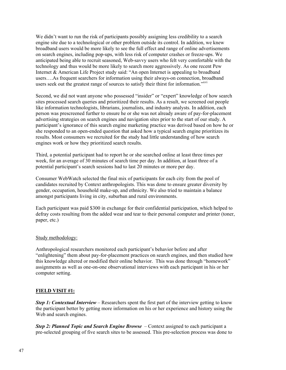We didn't want to run the risk of participants possibly assigning less credibility to a search engine site due to a technological or other problem outside its control. In addition, we knew broadband users would be more likely to see the full effect and range of online advertisements on search engines, including pop-ups, with less risk of computer crashes or freeze-ups. We anticipated being able to recruit seasoned, Web-savvy users who felt very comfortable with the technology and thus would be more likely to search more aggressively. As one recent Pew Internet & American Life Project study said: "An open Internet is appealing to broadband users….As frequent searchers for information using their always-on connection, broadband users seek out the greatest range of sources to satisfy their thirst for information.<sup>["xvi](#page-65-15)</sup>

Second, we did not want anyone who possessed "insider" or "expert" knowledge of how search sites processed search queries and prioritized their results. As a result, we screened out people like information technologists, librarians, journalists, and industry analysts. In addition, each person was prescreened further to ensure he or she was not already aware of pay-for-placement advertising strategies on search engines and navigation sites prior to the start of our study. A participant's ignorance of this search engine marketing practice was derived based on how he or she responded to an open-ended question that asked how a typical search engine prioritizes its results. Most consumers we recruited for the study had little understanding of how search engines work or how they prioritized search results.

Third, a potential participant had to report he or she searched online at least three times per week, for an average of 30 minutes of search time per day. In addition, at least three of a potential participant's search sessions had to last 20 minutes or more per day.

Consumer WebWatch selected the final mix of participants for each city from the pool of candidates recruited by Context anthropologists. This was done to ensure greater diversity by gender, occupation, household make-up, and ethnicity. We also tried to maintain a balance amongst participants living in city, suburban and rural environments.

Each participant was paid \$300 in exchange for their confidential participation, which helped to defray costs resulting from the added wear and tear to their personal computer and printer (toner, paper, etc.)

### Study methodology:

Anthropological researchers monitored each participant's behavior before and after "enlightening" them about pay-for-placement practices on search engines, and then studied how this knowledge altered or modified their online behavior. This was done through "homework" assignments as well as one-on-one observational interviews with each participant in his or her computer setting.

### **FIELD VISIT #1:**

*Step 1: Contextual Interview* – Researchers spent the first part of the interview getting to know the participant better by getting more information on his or her experience and history using the Web and search engines.

*Step 2: Planned Topic and Search Engine Browse* – Context assigned to each participant a pre-selected grouping of five search sites to be assessed. This pre-selection process was done to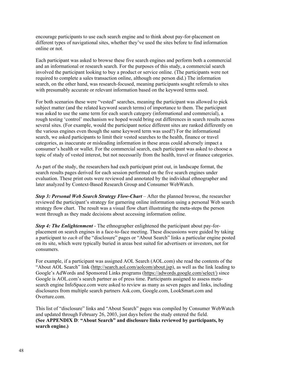encourage participants to use each search engine and to think about pay-for-placement on different types of navigational sites, whether they've used the sites before to find information online or not.

Each participant was asked to browse these five search engines and perform both a commercial and an informational or research search. For the purposes of this study, a commercial search involved the participant looking to buy a product or service online. (The participants were not required to complete a sales transaction online, although one person did.) The information search, on the other hand, was research-focused, meaning participants sought referrals to sites with presumably accurate or relevant information based on the keyword terms used.

For both scenarios these were "vested" searches, meaning the participant was allowed to pick subject matter (and the related keyword search terms) of importance to them. The participant was asked to use the same term for each search category (informational and commercial), a rough testing 'control' mechanism we hoped would bring out differences in search results across several sites. (For example, would the participant notice different sites are ranked differently on the various engines even though the same keyword term was used?) For the informational search, we asked participants to limit their vested searches to the health, finance or travel categories, as inaccurate or misleading information in these areas could adversely impact a consumer's health or wallet. For the commercial search, each participant was asked to choose a topic of study of vested interest, but not necessarily from the health, travel or finance categories.

As part of the study, the researchers had each participant print out, in landscape format, the search results pages derived for each session performed on the five search engines under evaluation. These print outs were reviewed and annotated by the individual ethnographer and later analyzed by Context-Based Research Group and Consumer WebWatch.

*Step 3: Personal Web Search Strategy Flow-Chart* – After the planned browse, the researcher reviewed the participant's strategy for garnering online information using a personal Web search strategy flow chart. The result was a visual flow chart illustrating the meta-steps the person went through as they made decisions about accessing information online.

*Step 4: The Enlightenment* - The ethnographer enlightened the participant about pay-forplacement on search engines in a face-to-face meeting. These discussions were guided by taking a participant to *each* of the "disclosure" pages or "About Search" links a particular engine posted on its site, which were typically buried in areas best suited for advertisers or investors, not for consumers.

For example, if a participant was assigned AOL Search (AOL.com) she read the contents of the "About AOL Search" link [\(http://search.aol.com/aolcom/about.jsp\)](http://search.aol.com/aolcom/about.jsp), as well as the link leading to Google's AdWords and Sponsored Links programs ([https://adwords.google.com/select/\)](https://adwords.google.com/select/)) since Google is AOL.com's search partner as of press time. Participants assigned to assess metasearch engine InfoSpace.com were asked to review as many as seven pages and links, including disclosures from multiple search partners Ask.com, Google.com, LookSmart.com and Overture.com.

This list of "disclosure" links and "About Search" pages was compiled by Consumer WebWatch and updated through February 26, 2003, just days before the study entered the field. **(See APPENDIX D**: **"About Search" and disclosure links reviewed by participants, by search engine.)**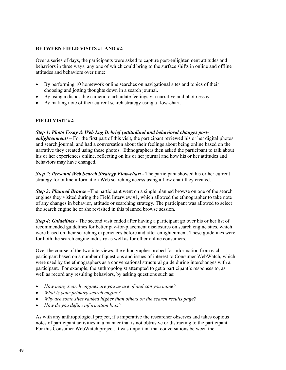### **BETWEEN FIELD VISITS #1 AND #2:**

Over a series of days, the participants were asked to capture post-enlightenment attitudes and behaviors in three ways, any one of which could bring to the surface shifts in online and offline attitudes and behaviors over time:

- By performing 10 homework online searches on navigational sites and topics of their choosing and jotting thoughts down in a search journal.
- By using a disposable camera to articulate feelings via narrative and photo essay.
- By making note of their current search strategy using a flow-chart.

### **FIELD VISIT #2:**

### *Step 1: Photo Essay & Web Log Debrief (attitudinal and behavioral changes post-*

*enlightenment*) – For the first part of this visit, the participant reviewed his or her digital photos and search journal, and had a conversation about their feelings about being online based on the narrative they created using these photos. Ethnographers then asked the participant to talk about his or her experiences online, reflecting on his or her journal and how his or her attitudes and behaviors may have changed.

*Step 2: Personal Web Search Strategy Flow-chart* - The participant showed his or her current strategy for online information Web searching access using a flow chart they created.

*Step 3: Planned Browse* – The participant went on a single planned browse on one of the search engines they visited during the Field Interview #1, which allowed the ethnographer to take note of any changes in behavior, attitude or searching strategy. The participant was allowed to select the search engine he or she revisited in this planned browse session.

*Step 4: Guidelines* - The second visit ended after having a participant go over his or her list of recommended guidelines for better pay-for-placement disclosures on search engine sites, which were based on their searching experiences before and after enlightenment. These guidelines were for both the search engine industry as well as for other online consumers.

Over the course of the two interviews, the ethnographer probed for information from each participant based on a number of questions and issues of interest to Consumer WebWatch, which were used by the ethnographers as a conversational structural guide during interchanges with a participant. For example, the anthropologist attempted to get a participant's responses to, as well as record any resulting behaviors, by asking questions such as:

- *How many search engines are you aware of and can you name?*
- *What is your primary search engine?*
- *Why are some sites ranked higher than others on the search results page?*
- *How do you define information bias?*

As with any anthropological project, it's imperative the researcher observes and takes copious notes of participant activities in a manner that is not obtrusive or distracting to the participant. For this Consumer WebWatch project, it was important that conversations between the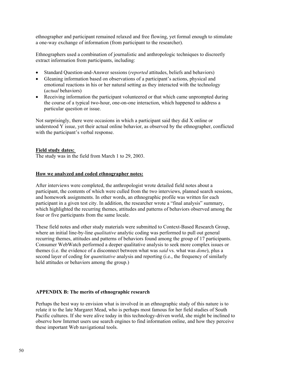ethnographer and participant remained relaxed and free flowing, yet formal enough to stimulate a one-way exchange of information (from participant to the researcher).

Ethnographers used a combination of journalistic and anthropologic techniques to discreetly extract information from participants, including:

- Standard Question-and-Answer sessions (*reported* attitudes, beliefs and behaviors)
- Gleaning information based on observations of a participant's actions, physical and emotional reactions in his or her natural setting as they interacted with the technology (*actual* behaviors)
- Receiving information the participant volunteered or that which came unprompted during the course of a typical two-hour, one-on-one interaction, which happened to address a particular question or issue.

Not surprisingly, there were occasions in which a participant said they did X online or understood Y issue, yet their actual online behavior, as observed by the ethnographer, conflicted with the participant's verbal response.

#### **Field study dates:**

The study was in the field from March 1 to 29, 2003.

#### **How we analyzed and coded ethnographer notes:**

After interviews were completed, the anthropologist wrote detailed field notes about a participant, the contents of which were culled from the two interviews, planned search sessions, and homework assignments. In other words, an ethnographic profile was written for each participant in a given test city. In addition, the researcher wrote a "final analysis" summary, which highlighted the recurring themes, attitudes and patterns of behaviors observed among the four or five participants from the same locale.

These field notes and other study materials were submitted to Context-Based Research Group, where an initial line-by-line *qualitative* analytic coding was performed to pull out general recurring themes, attitudes and patterns of behaviors found among the group of 17 participants. Consumer WebWatch performed a deeper qualitative analysis to seek more complex issues or themes (i.e. the evidence of a disconnect between what was *said* vs. what was *done*), plus a second layer of coding for *quantitative* analysis and reporting (i.e., the frequency of similarly held attitudes or behaviors among the group.)

#### <span id="page-49-0"></span>**APPENDIX B: The merits of ethnographic research**

Perhaps the best way to envision what is involved in an ethnographic study of this nature is to relate it to the late Margaret Mead, who is perhaps most famous for her field studies of South Pacific cultures. If she were alive today in this technology-driven world, she might be inclined to observe how Internet users use search engines to find information online, and how they perceive these important Web navigational tools.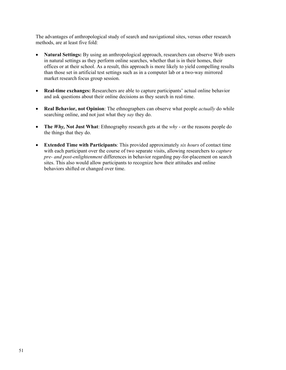The advantages of anthropological study of search and navigational sites, versus other research methods, are at least five fold:

- **Natural Settings:** By using an anthropological approach, researchers can observe Web users in natural settings as they perform online searches, whether that is in their homes, their offices or at their school. As a result, this approach is more likely to yield compelling results than those set in artificial test settings such as in a computer lab or a two-way mirrored market research focus group session.
- **Real-time exchanges:** Researchers are able to capture participants' actual online behavior and ask questions about their online decisions as they search in real-time.
- **Real Behavior, not Opinion**: The ethnographers can observe what people *actually* do while searching online, and not just what they *say* they do.
- **The** *Why*, Not Just What: Ethnography research gets at the *why* or the reasons people do the things that they do.
- **Extended Time with Participants**: This provided approximately *six hours* of contact time with each participant over the course of two separate visits, allowing researchers to *capture pre- and post-enlightenment* differences in behavior regarding pay-for-placement on search sites. This also would allow participants to recognize how their attitudes and online behaviors shifted or changed over time.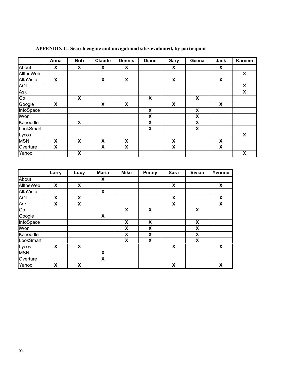|             | Anna                      | <b>Bob</b>                | Claude                    | <b>Dennis</b>             | <b>Diane</b>              | Gary                      | Geena                     | <b>Jack</b>               | <b>Kareem</b> |
|-------------|---------------------------|---------------------------|---------------------------|---------------------------|---------------------------|---------------------------|---------------------------|---------------------------|---------------|
| About       | X                         | X                         | X                         | X                         |                           | X                         |                           | $\boldsymbol{\mathsf{x}}$ |               |
| AlltheWeb   |                           |                           |                           |                           |                           |                           |                           |                           | X             |
| AltaVista   | $\boldsymbol{\mathsf{x}}$ |                           | $\boldsymbol{\mathsf{x}}$ | $\boldsymbol{\mathsf{X}}$ |                           | $\boldsymbol{\mathsf{x}}$ |                           | $\boldsymbol{\mathsf{x}}$ |               |
| <b>AOL</b>  |                           |                           |                           |                           |                           |                           |                           |                           | X             |
| Ask         |                           |                           |                           |                           |                           |                           |                           |                           | X             |
| Go          |                           | X                         |                           |                           | $\pmb{\mathsf{X}}$        |                           | X                         |                           |               |
| Google      | X                         |                           | X                         | $\boldsymbol{\mathsf{X}}$ |                           | X                         |                           | $\pmb{\mathsf{X}}$        |               |
| InfoSpace   |                           |                           |                           |                           | $\boldsymbol{\mathsf{X}}$ |                           | X                         |                           |               |
| <b>iWon</b> |                           |                           |                           |                           | $\boldsymbol{\mathsf{X}}$ |                           | X                         |                           |               |
| Kanoodle    |                           | $\boldsymbol{\mathsf{X}}$ |                           |                           | $\boldsymbol{\mathsf{X}}$ |                           | $\boldsymbol{\mathsf{X}}$ |                           |               |
| LookSmart   |                           |                           |                           |                           | $\boldsymbol{\mathsf{X}}$ |                           | X                         |                           |               |
| Lycos       |                           |                           |                           |                           |                           |                           |                           |                           | X             |
| <b>MSN</b>  | X                         | X                         | X                         | X                         |                           | X                         |                           | $\pmb{\mathsf{X}}$        |               |
| Overture    | X                         |                           | $\boldsymbol{\mathsf{x}}$ | $\boldsymbol{\mathsf{X}}$ |                           | X                         |                           | $\boldsymbol{\mathsf{X}}$ |               |
| Yahoo       |                           | X                         |                           |                           |                           |                           |                           |                           | X             |

<span id="page-51-0"></span>**APPENDIX C: Search engine and navigational sites evaluated, by participant**

|            | Larry | Lucy                      | <b>Maria</b> | <b>Mike</b>               | <b>Penny</b>       | <b>Sara</b> | Vivian                    | Yvonne |
|------------|-------|---------------------------|--------------|---------------------------|--------------------|-------------|---------------------------|--------|
| About      |       |                           | X            |                           |                    |             |                           |        |
| AlltheWeb  | X     | X                         |              |                           |                    | X           |                           | X      |
| AltaVista  |       |                           | X            |                           |                    |             |                           |        |
| <b>AOL</b> | X     | X                         |              |                           |                    | X           |                           | X      |
| Ask        | X     | X                         |              |                           |                    | X           |                           | X      |
| Go         |       |                           |              | $\boldsymbol{\mathsf{X}}$ | X                  |             | $\boldsymbol{\mathsf{x}}$ |        |
| Google     |       |                           | X            |                           |                    |             |                           |        |
| InfoSpace  |       |                           |              | X                         | $\pmb{\mathsf{X}}$ |             | $\pmb{\mathsf{X}}$        |        |
| iWon       |       |                           |              | X                         | X                  |             | X                         |        |
| Kanoodle   |       |                           |              | X                         | X                  |             | X                         |        |
| LookSmart  |       |                           |              | X                         | X                  |             | $\boldsymbol{\mathsf{X}}$ |        |
| Lycos      | X     | $\boldsymbol{\mathsf{x}}$ |              |                           |                    | X           |                           | X      |
| <b>MSN</b> |       |                           | X            |                           |                    |             |                           |        |
| Overture   |       |                           | X            |                           |                    |             |                           |        |
| Yahoo      | X     | X                         |              |                           |                    | X           |                           | X      |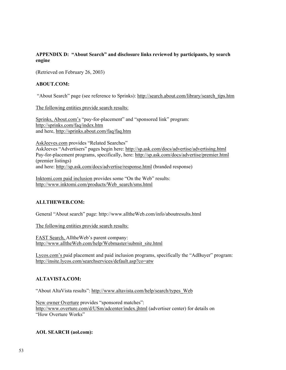### <span id="page-52-0"></span>**APPENDIX D: "About Search" and disclosure links reviewed by participants, by search engine**

(Retrieved on February 26, 2003)

### **ABOUT.COM:**

"About Search" page (see reference to Sprinks): [http://search.about.com/library/search\\_tips.htm](http://search.about.com/library/search_tips.htm)

The following entities provide search results:

Sprinks, About.com's "pay-for-placement" and "sponsored link" program: <http://sprinks.com/faq/index.htm> and here, <http://sprinks.about.com/faq/faq.htm>

AskJeeves.com provides "Related Searches" AskJeeves "Advertisers" pages begin here: <http://sp.ask.com/docs/advertise/advertising.html> Pay-for-placement programs, specifically, here:<http://sp.ask.com/docs/advertise/premier.html> (premier listings) and here: <http://sp.ask.com/docs/advertise/response.html>(branded response)

Inktomi.com paid inclusion provides some "On the Web" results: [http://www.inktomi.com/products/Web\\_search/sms.html](http://www.inktomi.com/products/web_search/sms.html)

### **ALLTHEWEB.COM:**

General "About search" page: [http://www.alltheWeb.com/info/aboutresults.html](http://www.alltheweb.com/info/aboutresults.html)

The following entities provide search results:

FAST Search, AlltheWeb's parent company: [http://www.alltheWeb.com/help/Webmaster/submit\\_site.html](http://www.alltheweb.com/help/webmaster/submit_site.html)

Lycos.com's paid placement and paid inclusion programs, specifically the "AdBuyer" program: <http://insite.lycos.com/searchservices/default.asp?co=atw>

### **ALTAVISTA.COM:**

"About AltaVista results": [http://www.altavista.com/help/search/types\\_Web](http://www.altavista.com/help/search/types_web)

New owner Overture provides "sponsored matches": <http://www.overture.com/d/USm/adcenter/index.jhtml>(advertiser center) for details on "How Overture Works"

### **AOL SEARCH (aol.com):**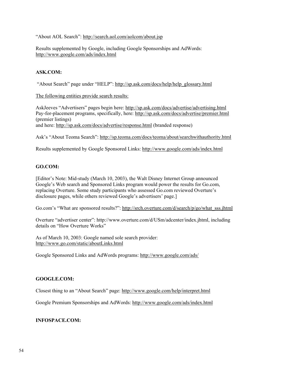"About AOL Search": <http://search.aol.com/aolcom/about.jsp>

Results supplemented by Google, including Google Sponsorships and AdWords: <http://www.google.com/ads/index.html>

### **ASK.COM:**

"About Search" page under "HELP": [http://sp.ask.com/docs/help/help\\_glossary.html](http://sp.ask.com/docs/help/help_glossary.html)

The following entities provide search results:

AskJeeves "Advertisers" pages begin here: <http://sp.ask.com/docs/advertise/advertising.html> Pay-for-placement programs, specifically, here:<http://sp.ask.com/docs/advertise/premier.html> (premier listings) and here: <http://sp.ask.com/docs/advertise/response.html>(branded response)

Ask's "About Teoma Search": <http://sp.teoma.com/docs/teoma/about/searchwithauthority.html>

Results supplemented by Google Sponsored Links:<http://www.google.com/ads/index.html>

### **GO.COM:**

[Editor's Note: Mid-study (March 10, 2003), the Walt Disney Internet Group announced Google's Web search and Sponsored Links program would power the results for Go.com, replacing Overture. Some study participants who assessed Go.com reviewed Overture's disclosure pages, while others reviewed Google's advertisers' page.]

Go.com's "What are sponsored results?": [http://srch.overture.com/d/search/p/go/what\\_sss.jhtml](http://srch.overture.com/d/search/p/go/what_sss.jhtml)

Overture "advertiser center": [http://www.overture.com/d/USm/adcenter/index.jhtml,](http://www.overture.com/d/USm/adcenter/index.jhtml) including details on "How Overture Works"

As of March 10, 2003: Google named sole search provider: <http://www.go.com/static/aboutLinks.html>

Google Sponsored Links and AdWords programs:<http://www.google.com/ads/>

### **GOOGLE.COM:**

Closest thing to an "About Search" page: <http://www.google.com/help/interpret.html>

Google Premium Sponsorships and AdWords:<http://www.google.com/ads/index.html>

### **INFOSPACE.COM:**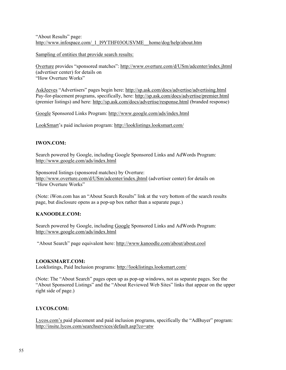### "About Results" page: [http://www.infospace.com/\\_1\\_I9YTHF03OUSVME\\_\\_home/dog/help/about.htm](http://www.infospace.com/_1_I9YTHF03OUSVME__home/dog/help/about.htm)

Sampling of entities that provide search results:

Overture provides "sponsored matches": <http://www.overture.com/d/USm/adcenter/index.jhtml> (advertiser center) for details on "How Overture Works"

AskJeeves "Advertisers" pages begin here: <http://sp.ask.com/docs/advertise/advertising.html> Pay-for-placement programs, specifically, here:<http://sp.ask.com/docs/advertise/premier.html> (premier listings) and here: <http://sp.ask.com/docs/advertise/response.html>(branded response)

Google Sponsored Links Program:<http://www.google.com/ads/index.html>

LookSmart's paid inclusion program:<http://looklistings.looksmart.com/>

### **IWON.COM:**

Search powered by Google, including Google Sponsored Links and AdWords Program: <http://www.google.com/ads/index.html>

Sponsored listings (sponsored matches) by Overture: <http://www.overture.com/d/USm/adcenter/index.jhtml>(advertiser center) for details on "How Overture Works"

(Note: iWon.com has an "About Search Results" link at the very bottom of the search results page, but disclosure opens as a pop-up box rather than a separate page.)

### **KANOODLE.COM:**

Search powered by Google, including Google Sponsored Links and AdWords Program: <http://www.google.com/ads/index.html>

"About Search" page equivalent here:<http://www.kanoodle.com/about/about.cool>

### **LOOKSMART.COM:**

Looklistings, Paid Inclusion programs:<http://looklistings.looksmart.com/>

(Note: The "About Search" pages open up as pop-up windows, not as separate pages. See the "About Sponsored Listings" and the "About Reviewed Web Sites" links that appear on the upper right side of page.)

### **LYCOS.COM:**

Lycos.com's paid placement and paid inclusion programs, specifically the "AdBuyer" program: <http://insite.lycos.com/searchservices/default.asp?co=atw>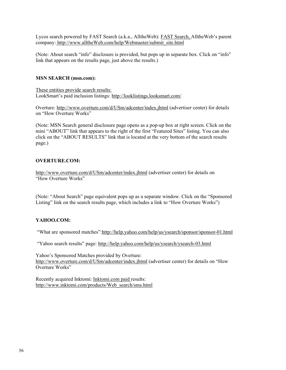Lycos search powered by FAST Search (a.k.a., AlltheWeb): FAST Search, AlltheWeb's parent company: [http://www.alltheWeb.com/help/Webmaster/submit\\_site.html](http://www.alltheweb.com/help/webmaster/submit_site.html)

(Note: About search "info" disclosure is provided, but pops up in separate box. Click on "info" link that appears on the results page, just above the results.)

### **MSN SEARCH (msn.com):**

These entities provide search results: LookSmart's paid inclusion listings:<http://looklistings.looksmart.com/>

Overture: <http://www.overture.com/d/USm/adcenter/index.jhtml>(advertiser center) for details on "How Overture Works"

(Note: MSN Search general disclosure page opens as a pop-up box at right screen. Click on the mini "ABOUT" link that appears to the right of the first "Featured Sites" listing. You can also click on the "ABOUT RESULTS" link that is located at the very bottom of the search results page.)

#### **OVERTURE.COM:**

<http://www.overture.com/d/USm/adcenter/index.jhtml>(advertiser center) for details on "How Overture Works"

(Note: "About Search" page equivalent pops up as a separate window. Click on the "Sponsored Listing" link on the search results page, which includes a link to "How Overture Works")

### **YAHOO.COM:**

"What are sponsored matches"[:http://help.yahoo.com/help/us/ysearch/sponsor/sponsor-01.html](http://help.yahoo.com/help/us/ysearch/sponsor/sponsor-01.html)

"Yahoo search results" page:<http://help.yahoo.com/help/us/ysearch/ysearch-03.html>

Yahoo's Sponsored Matches provided by Overture: <http://www.overture.com/d/USm/adcenter/index.jhtml>(advertiser center) for details on "How Overture Works"

Recently acquired Inktomi: Inktomi.com paid results: [http://www.inktomi.com/products/Web\\_search/sms.html](http://www.inktomi.com/products/web_search/sms.html)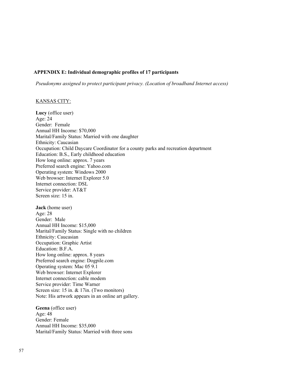### <span id="page-56-0"></span>**APPENDIX E: Individual demographic profiles of 17 participants**

*Pseudonyms assigned to protect participant privacy. (Location of broadband Internet access)* 

#### KANSAS CITY:

**Lucy** (office user) Age: 24 Gender: Female Annual HH Income: \$70,000 Marital/Family Status: Married with one daughter Ethnicity: Caucasian Occupation: Child Daycare Coordinator for a county parks and recreation department Education: B.S., Early childhood education How long online: approx. 7 years Preferred search engine: Yahoo.com Operating system: Windows 2000 Web browser: Internet Explorer 5.0 Internet connection: DSL Service provider: AT&T Screen size: 15 in.

**Jack** (home user) Age: 28 Gender: Male Annual HH Income: \$15,000 Marital/Family Status: Single with no children Ethnicity: Caucasian Occupation: Graphic Artist Education: B.F.A. How long online: approx. 8 years Preferred search engine: Dogpile.com Operating system: Mac 05 9.1 Web browser: Internet Explorer Internet connection: cable modem Service provider: Time Warner Screen size: 15 in. & 17 in. (Two monitors) Note: His artwork appears in an online art gallery.

**Geena** (office user) Age: 48 Gender: Female Annual HH Income: \$35,000 Marital/Family Status: Married with three sons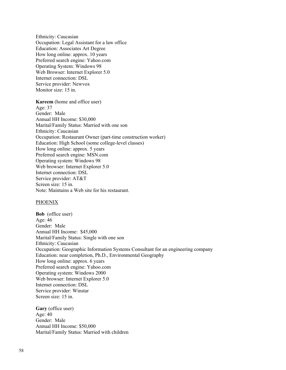Ethnicity: Caucasian Occupation: Legal Assistant for a law office Education: Associates Art Degree How long online: approx. 10 years Preferred search engine: Yahoo.com Operating System: Windows 98 Web Browser: Internet Explorer 5.0 Internet connection: DSL Service provider: Newvox Monitor size: 15 in.

**Kareem** (home and office user) Age: 37 Gender: Male Annual HH Income: \$30,000 Marital/Family Status: Married with one son Ethnicity: Caucasian Occupation: Restaurant Owner (part-time construction worker) Education: High School (some college-level classes) How long online: approx. 5 years Preferred search engine: MSN.com Operating system: Windows 98 Web browser: Internet Explorer 5.0 Internet connection: DSL Service provider: AT&T Screen size: 15 in. Note: Maintains a Web site for his restaurant.

#### **PHOENIX**

**Bob** (office user) Age: 46 Gender: Male Annual HH Income: \$45,000 Marital/Family Status: Single with one son Ethnicity: Caucasian Occupation: Geographic Information Systems Consultant for an engineering company Education: near completion, Ph.D., Environmental Geography How long online: approx. 6 years Preferred search engine: Yahoo.com Operating system: Windows 2000 Web browser: Internet Explorer 5.0 Internet connection: DSL Service provider: Winstar Screen size: 15 in.

**Gary** (office user) Age: 40 Gender: Male Annual HH Income: \$50,000 Marital/Family Status: Married with children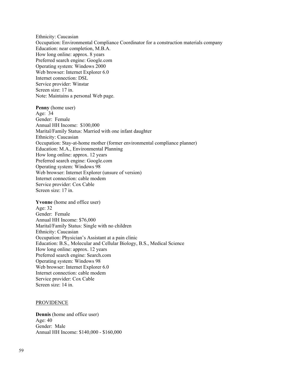Ethnicity: Caucasian Occupation: Environmental Compliance Coordinator for a construction materials company Education: near completion, M.B.A. How long online: approx. 8 years Preferred search engine: Google.com Operating system: Windows 2000 Web browser: Internet Explorer 6.0 Internet connection: DSL Service provider: Winstar Screen size: 17 in. Note: Maintains a personal Web page.

**Penny** (home user) Age: 34 Gender: Female Annual HH Income: \$100,000 Marital/Family Status: Married with one infant daughter Ethnicity: Caucasian Occupation: Stay-at-home mother (former environmental compliance planner) Education: M.A., Environmental Planning How long online: approx. 12 years Preferred search engine: Google.com Operating system: Windows 98 Web browser: Internet Explorer (unsure of version) Internet connection: cable modem Service provider: Cox Cable Screen size: 17 in.

**Yvonne** (home and office user) Age: 32 Gender: Female Annual HH Income: \$76,000 Marital/Family Status: Single with no children Ethnicity: Caucasian Occupation: Physician's Assistant at a pain clinic Education: B.S., Molecular and Cellular Biology, B.S., Medical Science How long online: approx. 12 years Preferred search engine: Search.com Operating system: Windows 98 Web browser: Internet Explorer 6.0 Internet connection: cable modem Service provider: Cox Cable Screen size: 14 in.

#### PROVIDENCE

**Dennis** (home and office user) Age: 40 Gender: Male Annual HH Income: \$140,000 - \$160,000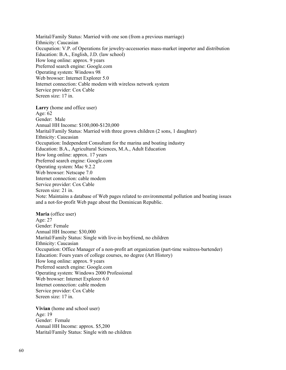Marital/Family Status: Married with one son (from a previous marriage) Ethnicity: Caucasian Occupation: V.P. of Operations for jewelry-accessories mass-market importer and distribution Education: B.A., English, J.D. (law school) How long online: approx. 9 years Preferred search engine: Google.com Operating system: Windows 98 Web browser: Internet Explorer 5.0 Internet connection: Cable modem with wireless network system Service provider: Cox Cable Screen size: 17 in.

**Larry** (home and office user) Age: 62 Gender: Male Annual HH Income: \$100,000-\$120,000 Marital/Family Status: Married with three grown children (2 sons, 1 daughter) Ethnicity: Caucasian Occupation: Independent Consultant for the marina and boating industry Education: B.A., Agricultural Sciences, M.A., Adult Education How long online: approx. 17 years Preferred search engine: Google.com Operating system: Mac 9.2.2 Web browser: Netscape 7.0 Internet connection: cable modem Service provider: Cox Cable Screen size: 21 in. Note: Maintains a database of Web pages related to environmental pollution and boating issues and a not-for-profit Web page about the Dominican Republic.

**Maria** (office user) Age: 27 Gender: Female Annual HH Income: \$30,000 Marital/Family Status: Single with live-in boyfriend, no children Ethnicity: Caucasian Occupation: Office Manager of a non-profit art organization (part-time waitress-bartender) Education: Fours years of college courses, no degree (Art History) How long online: approx. 9 years Preferred search engine: Google.com Operating system: Windows 2000 Professional Web browser: Internet Explorer 6.0 Internet connection: cable modem Service provider: Cox Cable Screen size: 17 in.

**Vivian** (home and school user) Age: 19 Gender: Female Annual HH Income: approx. \$5,200 Marital/Family Status: Single with no children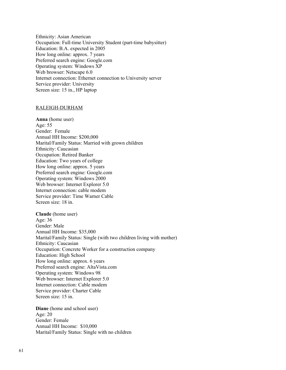Ethnicity: Asian American Occupation: Full-time University Student (part-time babysitter) Education: B.A. expected in 2005 How long online: approx. 7 years Preferred search engine: Google.com Operating system: Windows XP Web browser: Netscape 6.0 Internet connection: Ethernet connection to University server Service provider: University Screen size: 15 in., HP laptop

#### RALEIGH-DURHAM

**Anna** (home user) Age: 55 Gender: Female Annual HH Income: \$200,000 Marital/Family Status: Married with grown children Ethnicity: Caucasian Occupation: Retired Banker Education: Two years of college How long online: approx. 5 years Preferred search engine: Google.com Operating system: Windows 2000 Web browser: Internet Explorer 5.0 Internet connection: cable modem Service provider: Time Warner Cable Screen size: 18 in.

**Claude** (home user) Age: 36 Gender: Male Annual HH Income: \$35,000 Marital/Family Status: Single (with two children living with mother) Ethnicity: Caucasian Occupation: Concrete Worker for a construction company Education: High School How long online: approx. 6 years Preferred search engine: AltaVista.com Operating system: Windows 98 Web browser: Internet Explorer 5.0 Internet connection: Cable modem Service provider: Charter Cable Screen size: 15 in.

**Diane** (home and school user) Age: 20 Gender: Female Annual HH Income: \$10,000 Marital/Family Status: Single with no children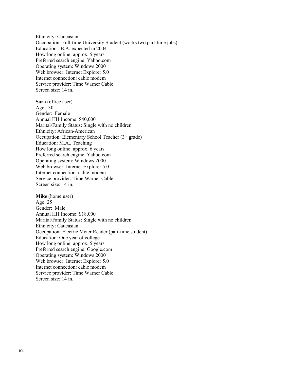Ethnicity: Caucasian Occupation: Full-time University Student (works two part-time jobs) Education: B.A. expected in 2004 How long online: approx. 5 years Preferred search engine: Yahoo.com Operating system: Windows 2000 Web browser: Internet Explorer 5.0 Internet connection: cable modem Service provider: Time Warner Cable Screen size: 14 in.

**Sara** (office user) Age: 30 Gender: Female Annual HH Income: \$40,000 Marital/Family Status: Single with no children Ethnicity: African-American Occupation: Elementary School Teacher  $(3<sup>rd</sup>$  grade) Education: M.A., Teaching How long online: approx. 6 years Preferred search engine: Yahoo.com Operating system: Windows 2000 Web browser: Internet Explorer 5.0 Internet connection: cable modem Service provider: Time Warner Cable Screen size: 14 in.

<span id="page-61-0"></span>**Mike** (home user) Age: 25 Gender: Male Annual HH Income: \$18,000 Marital/Family Status: Single with no children Ethnicity: Caucasian Occupation: Electric Meter Reader (part-time student) Education: One year of college How long online: approx. 5 years Preferred search engine: Google.com Operating system: Windows 2000 Web browser: Internet Explorer 5.0 Internet connection: cable modem Service provider: Time Warner Cable Screen size: 14 in.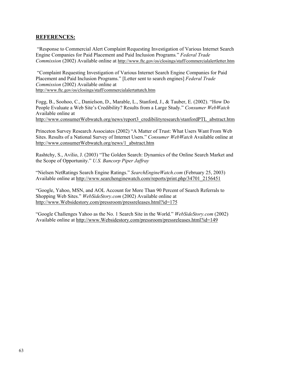### **REFERENCES:**

 "Response to Commercial Alert Complaint Requesting Investigation of Various Internet Search Engine Companies for Paid Placement and Paid Inclusion Programs*.*" *Federal Trade Commission* (2002) Available online at <http://www.ftc.gov/os/closings/staff/commercialalertletter.htm>

 "Complaint Requesting Investigation of Various Internet Search Engine Companies for Paid Placement and Paid Inclusion Programs." [Letter sent to search engines] *Federal Trade Commission* (2002) Available online at <http://www.ftc.gov/os/closings/staff/commercialalertattatch.htm>

Fogg, B., Soohoo, C., Danielson, D., Marable, L., Stanford, J., & Tauber, E. (2002). "How Do People Evaluate a Web Site's Credibility? Results from a Large Study." *Consumer WebWatch* Available online at

[http://www.consumerWebwatch.org/news/report3\\_credibilityresearch/stanfordPTL\\_abstract.htm](http://www.consumerwebwatch.org/news/report3_credibilityresearch/stanfordPTL_abstract.htm)

Princeton Survey Research Associates (2002) "A Matter of Trust: What Users Want From Web Sites. Results of a National Survey of Internet Users." *Consumer WebWatch* Available online at [http://www.consumerWebwatch.org/news/1\\_abstract.htm](http://www.consumerwebwatch.org/news/1_abstract.htm)

Rashtchy, S., Avilio, J. (2003) "The Golden Search: Dynamics of the Online Search Market and the Scope of Opportunity." *U.S. Bancorp Piper Jaffray*

"Nielsen NetRatings Search Engine Ratings." *SearchEngineWatch.com* (February 25, 2003) Available online at [http://www.searchenginewatch.com/reports/print.php/34701\\_2156451](http://www.searchenginewatch.com/reports/print.php/34701_2156451)

"Google, Yahoo, MSN, and AOL Account for More Than 90 Percent of Search Referrals to Shopping Web Sites." *WebSideStory.com* (2002) Available online at [http://www.Websidestory.com/pressroom/pressreleases.html?id=175](http://www.websidestory.com/pressroom/pressreleases.html?id=175)

"Google Challenges Yahoo as the No. 1 Search Site in the World." *WebSideStory.com* (2002) Available online at [http://www.Websidestory.com/pressroom/pressreleases.html?id=149](http://www.websidestory.com/pressroom/pressreleases.html?id=149)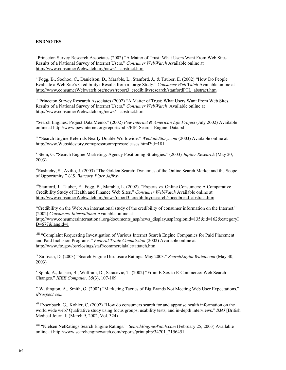#### **ENDNOTES**

 $\overline{\phantom{a}}$ 

<sup>i</sup> Princeton Survey Research Associates (2002) "A Matter of Trust: What Users Want From Web Sites. Results of a National Survey of Internet Users." *Consumer WebWatch* Available online at http://www.consumerWebwatch.org/news/1\_abstract.htm.

ii Fogg, B., Soohoo, C., Danielson, D., Marable, L., Stanford, J., & Tauber, E. (2002) "How Do People Evaluate a Web Site's Credibility? Results from a Large Study." *Consumer WebWatch* Available online at http://www.consumerWebwatch.org/news/report3\_credibilityresearch/stanfordPTL\_abstract.htm

iii Princeton Survey Research Associates (2002) "A Matter of Trust: What Users Want From Web Sites. Results of a National Survey of Internet Users." *Consumer WebWatch* Available online at http://www.consumerWebwatch.org/news/1\_abstract.htm.

"Search Engines: Project Data Memo." (2002) *Pew Internet & American Life Project* (July 2002) Available online at http://www.pewinternet.org/reports/pdfs/PIP\_Search\_Engine\_Data.pdf

iv "Search Engine Referrals Nearly Double Worldwide." *WebSideStory.com* (2003) Available online at http://www.Websidestory.com/pressroom/pressreleases.html?id=181

v Stein, G. "Search Engine Marketing: Agency Positioning Strategies." (2003) *Jupiter Research* (May 20, 2003)

viRashtchy, S., Avilio, J. (2003) "The Golden Search: Dynamics of the Online Search Market and the Scope of Opportunity." *U.S. Bancorp Piper Jaffray*

viiStanford, J., Tauber, E., Fogg, B., Marable, L. (2002). "Experts vs. Online Consumers: A Comparative Credibility Study of Health and Finance Web Sites." *Consumer WebWatch* Available online at http://www.consumerWebwatch.org/news/report3\_credibilityresearch/slicedbread\_abstract.htm

"Credibility on the Web: An international study of the credibility of consumer information on the Internet." (2002) *Consumers International* Available online at

http://www.consumersinternational.org/documents\_asp/news\_display.asp?regionid=135&id=162&categoryI D=677&langid=1

viii "Complaint Requesting Investigation of Various Internet Search Engine Companies for Paid Placement and Paid Inclusion Programs." *Federal Trade Commission* (2002) Available online at http://www.ftc.gov/os/closings/staff/commercialalertattatch.htm

ix Sullivan, D. (2003) "Search Engine Disclosure Ratings: May 2003." *SearchEngineWatch.com* (May 30, 2003)

x Spink, A., Jansen, B., Wolfram, D., Saracevic, T. (2002) "From E-Sex to E-Commerce: Web Search Changes." *IEEE Computer*, 35(3), 107-109

xi Watlington, A., Smith, G. (2002) "Marketing Tactics of Big Brands Not Meeting Web User Expectations." *iProspect.com*

xii Eysenbach, G., Kohler, C. (2002) "How do consumers search for and appraise health information on the world wide web? Qualitative study using focus groups, usability tests, and in-depth interviews." *BMJ* [British Medical Journal] (March 9, 2002, Vol. 324)

xiii "Nielsen NetRatings Search Engine Ratings." *SearchEngineWatch.com* (February 25, 2003) Available online at http://www.searchenginewatch.com/reports/print.php/34701\_2156451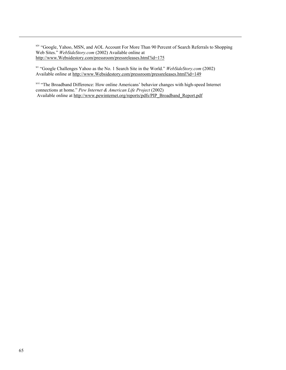xiv "Google, Yahoo, MSN, and AOL Account For More Than 90 Percent of Search Referrals to Shopping Web Sites." WebSideStory.com (2002) Available online at http://www.Websidestory.com/pressroom/pressreleases.html?id=175

xv "Google Challenges Yahoo as the No. 1 Search Site in the World." *WebSideStory.com* (2002) Available online at http://www.Websidestory.com/pressroom/pressreleases.html?id=149

<sup>xvi</sup> "The Broadband Difference: How online Americans' behavior changes with high-speed Internet connections at home." *Pew Internet & American Life Project* (2002) Available online at http://www.pewinternet.org/reports/pdfs/PIP\_Broadband\_Report.pdf

 $\overline{\phantom{a}}$